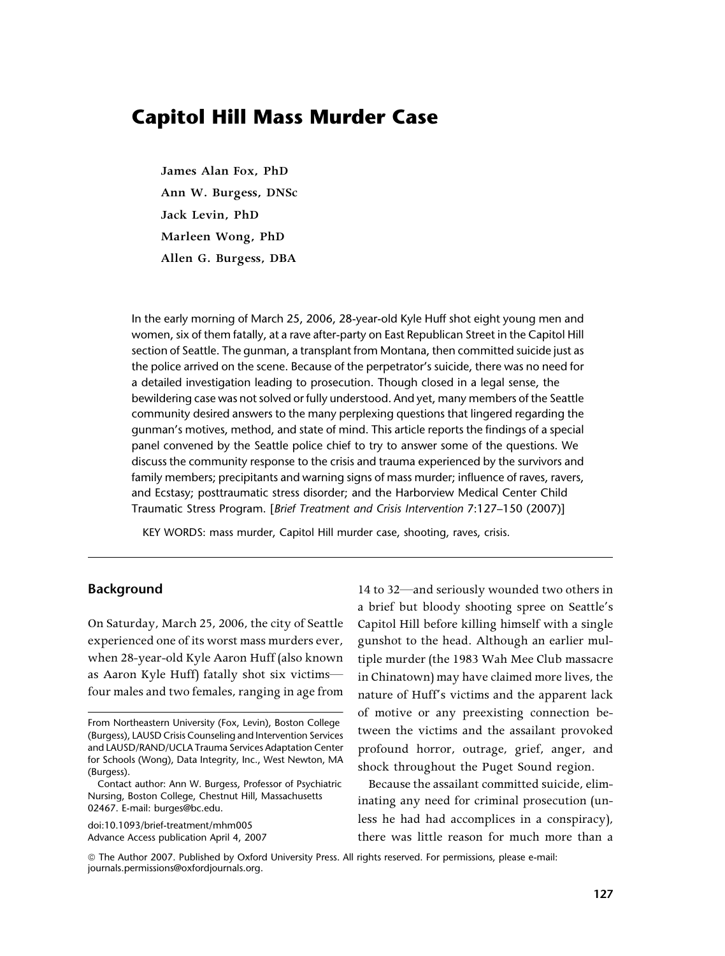# Capitol Hill Mass Murder Case

**James Alan Fox, PhD Ann W. Burgess, DNSc Jack Levin, PhD Marleen Wong, PhD Allen G. Burgess, DBA**

In the early morning of March 25, 2006, 28-year-old Kyle Huff shot eight young men and women, six of them fatally, at a rave after-party on East Republican Street in the Capitol Hill section of Seattle. The gunman, a transplant from Montana, then committed suicide just as the police arrived on the scene. Because of the perpetrator's suicide, there was no need for a detailed investigation leading to prosecution. Though closed in a legal sense, the bewildering case was not solved or fully understood. And yet, many members of the Seattle community desired answers to the many perplexing questions that lingered regarding the gunman's motives, method, and state of mind. This article reports the findings of a special panel convened by the Seattle police chief to try to answer some of the questions. We discuss the community response to the crisis and trauma experienced by the survivors and family members; precipitants and warning signs of mass murder; influence of raves, ravers, and Ecstasy; posttraumatic stress disorder; and the Harborview Medical Center Child Traumatic Stress Program. [Brief Treatment and Crisis Intervention 7:127–150 (2007)]

KEY WORDS: mass murder, Capitol Hill murder case, shooting, raves, crisis.

## Background

On Saturday, March 25, 2006, the city of Seattle experienced one of its worst mass murders ever, when 28-year-old Kyle Aaron Huff (also known as Aaron Kyle Huff) fatally shot six victims four males and two females, ranging in age from

doi:10.1093/brief-treatment/mhm005 Advance Access publication April 4, 2007

14 to 32—and seriously wounded two others in a brief but bloody shooting spree on Seattle's Capitol Hill before killing himself with a single gunshot to the head. Although an earlier multiple murder (the 1983 Wah Mee Club massacre in Chinatown) may have claimed more lives, the nature of Huff's victims and the apparent lack of motive or any preexisting connection between the victims and the assailant provoked profound horror, outrage, grief, anger, and shock throughout the Puget Sound region.

Because the assailant committed suicide, eliminating any need for criminal prosecution (unless he had had accomplices in a conspiracy), there was little reason for much more than a

*ª* The Author 2007. Published by Oxford University Press. All rights reserved. For permissions, please e-mail: journals.permissions@oxfordjournals.org.

From Northeastern University (Fox, Levin), Boston College (Burgess), LAUSD Crisis Counseling and Intervention Services and LAUSD/RAND/UCLA Trauma Services Adaptation Center for Schools (Wong), Data Integrity, Inc., West Newton, MA (Burgess).

Contact author: Ann W. Burgess, Professor of Psychiatric Nursing, Boston College, Chestnut Hill, Massachusetts 02467. E-mail: burges@bc.edu.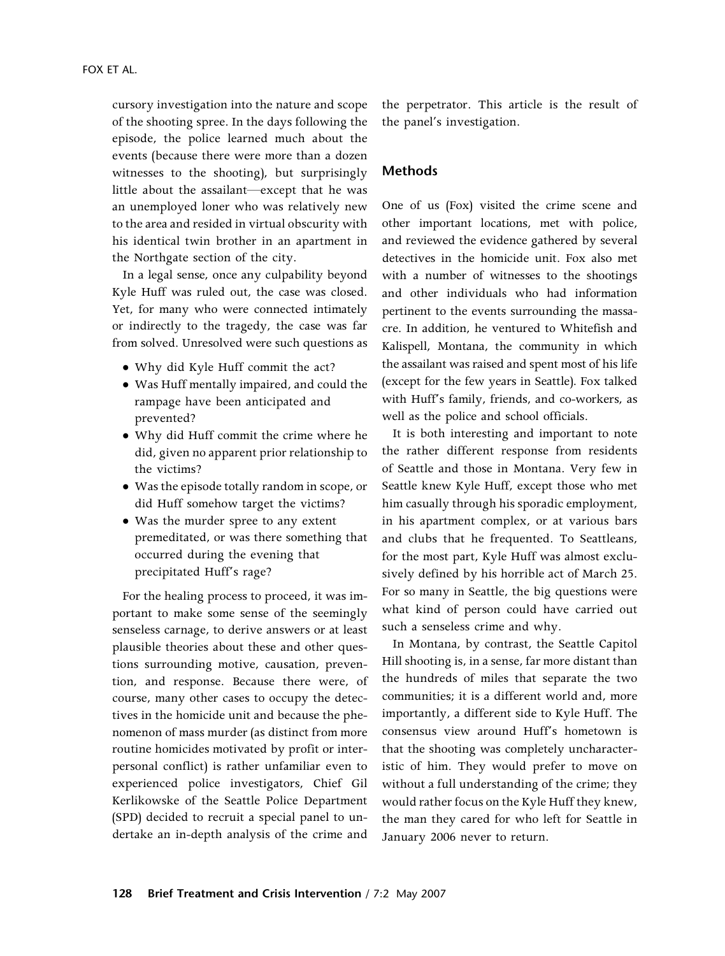cursory investigation into the nature and scope of the shooting spree. In the days following the episode, the police learned much about the events (because there were more than a dozen witnesses to the shooting), but surprisingly little about the assailant—except that he was an unemployed loner who was relatively new to the area and resided in virtual obscurity with his identical twin brother in an apartment in the Northgate section of the city.

In a legal sense, once any culpability beyond Kyle Huff was ruled out, the case was closed. Yet, for many who were connected intimately or indirectly to the tragedy, the case was far from solved. Unresolved were such questions as

- Why did Kyle Huff commit the act?
- Was Huff mentally impaired, and could the rampage have been anticipated and prevented?
- Why did Huff commit the crime where he did, given no apparent prior relationship to the victims?
- Was the episode totally random in scope, or did Huff somehow target the victims?
- Was the murder spree to any extent premeditated, or was there something that occurred during the evening that precipitated Huff's rage?

For the healing process to proceed, it was important to make some sense of the seemingly senseless carnage, to derive answers or at least plausible theories about these and other questions surrounding motive, causation, prevention, and response. Because there were, of course, many other cases to occupy the detectives in the homicide unit and because the phenomenon of mass murder (as distinct from more routine homicides motivated by profit or interpersonal conflict) is rather unfamiliar even to experienced police investigators, Chief Gil Kerlikowske of the Seattle Police Department (SPD) decided to recruit a special panel to undertake an in-depth analysis of the crime and

the perpetrator. This article is the result of the panel's investigation.

#### Methods

One of us (Fox) visited the crime scene and other important locations, met with police, and reviewed the evidence gathered by several detectives in the homicide unit. Fox also met with a number of witnesses to the shootings and other individuals who had information pertinent to the events surrounding the massacre. In addition, he ventured to Whitefish and Kalispell, Montana, the community in which the assailant was raised and spent most of his life (except for the few years in Seattle). Fox talked with Huff's family, friends, and co-workers, as well as the police and school officials.

It is both interesting and important to note the rather different response from residents of Seattle and those in Montana. Very few in Seattle knew Kyle Huff, except those who met him casually through his sporadic employment, in his apartment complex, or at various bars and clubs that he frequented. To Seattleans, for the most part, Kyle Huff was almost exclusively defined by his horrible act of March 25. For so many in Seattle, the big questions were what kind of person could have carried out such a senseless crime and why.

In Montana, by contrast, the Seattle Capitol Hill shooting is, in a sense, far more distant than the hundreds of miles that separate the two communities; it is a different world and, more importantly, a different side to Kyle Huff. The consensus view around Huff's hometown is that the shooting was completely uncharacteristic of him. They would prefer to move on without a full understanding of the crime; they would rather focus on the Kyle Huff they knew, the man they cared for who left for Seattle in January 2006 never to return.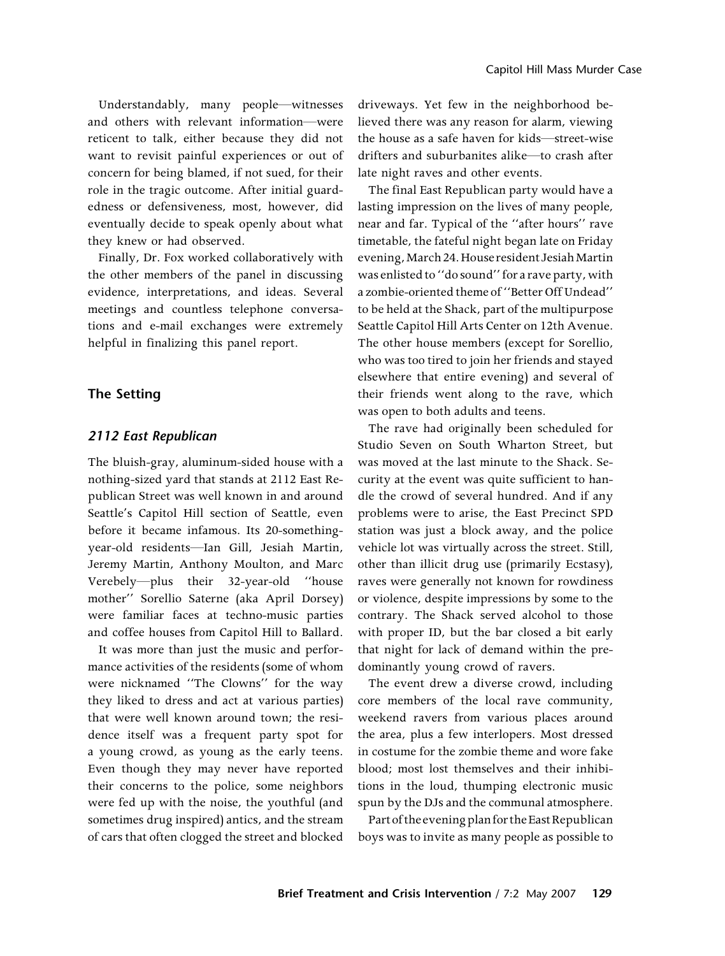Understandably, many people—witnesses and others with relevant information—were reticent to talk, either because they did not want to revisit painful experiences or out of concern for being blamed, if not sued, for their role in the tragic outcome. After initial guardedness or defensiveness, most, however, did eventually decide to speak openly about what they knew or had observed.

Finally, Dr. Fox worked collaboratively with the other members of the panel in discussing evidence, interpretations, and ideas. Several meetings and countless telephone conversations and e-mail exchanges were extremely helpful in finalizing this panel report.

# The Setting

#### 2112 East Republican

The bluish-gray, aluminum-sided house with a nothing-sized yard that stands at 2112 East Republican Street was well known in and around Seattle's Capitol Hill section of Seattle, even before it became infamous. Its 20-somethingyear-old residents—Ian Gill, Jesiah Martin, Jeremy Martin, Anthony Moulton, and Marc Verebely—plus their 32-year-old ''house mother'' Sorellio Saterne (aka April Dorsey) were familiar faces at techno-music parties and coffee houses from Capitol Hill to Ballard.

It was more than just the music and performance activities of the residents (some of whom were nicknamed ''The Clowns'' for the way they liked to dress and act at various parties) that were well known around town; the residence itself was a frequent party spot for a young crowd, as young as the early teens. Even though they may never have reported their concerns to the police, some neighbors were fed up with the noise, the youthful (and sometimes drug inspired) antics, and the stream of cars that often clogged the street and blocked

driveways. Yet few in the neighborhood believed there was any reason for alarm, viewing the house as a safe haven for kids—street-wise drifters and suburbanites alike—to crash after late night raves and other events.

The final East Republican party would have a lasting impression on the lives of many people, near and far. Typical of the ''after hours'' rave timetable, the fateful night began late on Friday evening, March 24. House resident Jesiah Martin was enlisted to ''do sound'' for a rave party, with a zombie-oriented theme of ''Better Off Undead'' to be held at the Shack, part of the multipurpose Seattle Capitol Hill Arts Center on 12th Avenue. The other house members (except for Sorellio, who was too tired to join her friends and stayed elsewhere that entire evening) and several of their friends went along to the rave, which was open to both adults and teens.

The rave had originally been scheduled for Studio Seven on South Wharton Street, but was moved at the last minute to the Shack. Security at the event was quite sufficient to handle the crowd of several hundred. And if any problems were to arise, the East Precinct SPD station was just a block away, and the police vehicle lot was virtually across the street. Still, other than illicit drug use (primarily Ecstasy), raves were generally not known for rowdiness or violence, despite impressions by some to the contrary. The Shack served alcohol to those with proper ID, but the bar closed a bit early that night for lack of demand within the predominantly young crowd of ravers.

The event drew a diverse crowd, including core members of the local rave community, weekend ravers from various places around the area, plus a few interlopers. Most dressed in costume for the zombie theme and wore fake blood; most lost themselves and their inhibitions in the loud, thumping electronic music spun by the DJs and the communal atmosphere.

Part of the evening plan for the East Republican boys was to invite as many people as possible to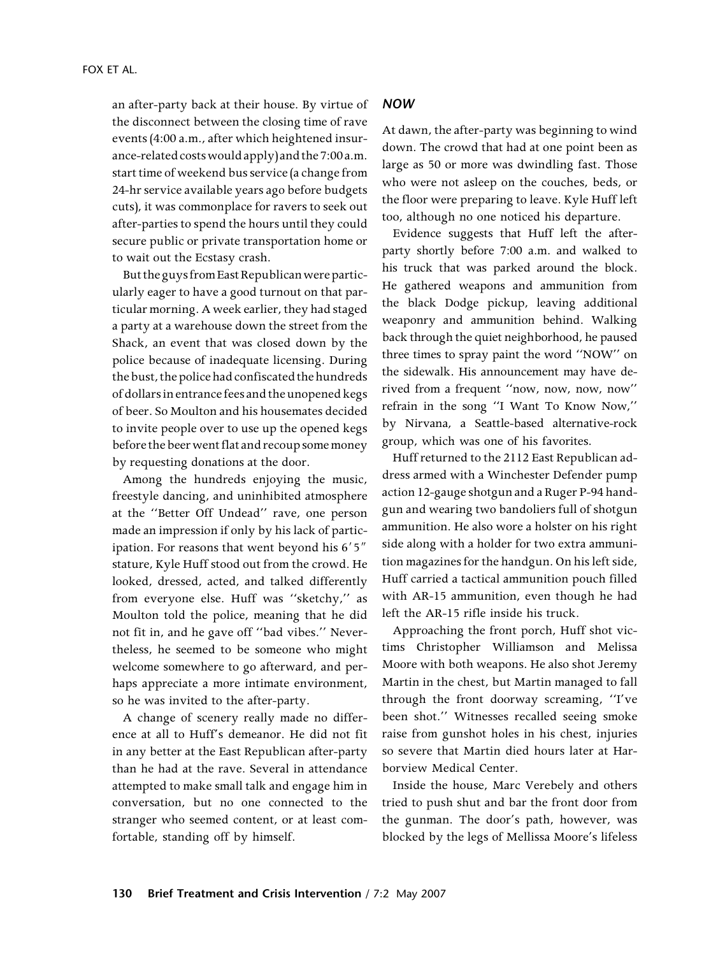an after-party back at their house. By virtue of the disconnect between the closing time of rave events (4:00 a.m., after which heightened insurance-related costswould apply) and the7:00 a.m. start time of weekend bus service (a change from 24-hr service available years ago before budgets cuts), it was commonplace for ravers to seek out after-parties to spend the hours until they could secure public or private transportation home or to wait out the Ecstasy crash.

But the guys from East Republicanwere particularly eager to have a good turnout on that particular morning. A week earlier, they had staged a party at a warehouse down the street from the Shack, an event that was closed down by the police because of inadequate licensing. During the bust, the police had confiscated the hundreds of dollarsin entrance fees and the unopened kegs of beer. So Moulton and his housemates decided to invite people over to use up the opened kegs before the beerwent flat and recoup some money by requesting donations at the door.

Among the hundreds enjoying the music, freestyle dancing, and uninhibited atmosphere at the ''Better Off Undead'' rave, one person made an impression if only by his lack of participation. For reasons that went beyond his  $6'5''$ stature, Kyle Huff stood out from the crowd. He looked, dressed, acted, and talked differently from everyone else. Huff was ''sketchy,'' as Moulton told the police, meaning that he did not fit in, and he gave off ''bad vibes.'' Nevertheless, he seemed to be someone who might welcome somewhere to go afterward, and perhaps appreciate a more intimate environment, so he was invited to the after-party.

A change of scenery really made no difference at all to Huff's demeanor. He did not fit in any better at the East Republican after-party than he had at the rave. Several in attendance attempted to make small talk and engage him in conversation, but no one connected to the stranger who seemed content, or at least comfortable, standing off by himself.

# NOW

At dawn, the after-party was beginning to wind down. The crowd that had at one point been as large as 50 or more was dwindling fast. Those who were not asleep on the couches, beds, or the floor were preparing to leave. Kyle Huff left too, although no one noticed his departure.

Evidence suggests that Huff left the afterparty shortly before 7:00 a.m. and walked to his truck that was parked around the block. He gathered weapons and ammunition from the black Dodge pickup, leaving additional weaponry and ammunition behind. Walking back through the quiet neighborhood, he paused three times to spray paint the word ''NOW'' on the sidewalk. His announcement may have derived from a frequent ''now, now, now, now'' refrain in the song ''I Want To Know Now,'' by Nirvana, a Seattle-based alternative-rock group, which was one of his favorites.

Huff returned to the 2112 East Republican address armed with a Winchester Defender pump action 12-gauge shotgun and a Ruger P-94 handgun and wearing two bandoliers full of shotgun ammunition. He also wore a holster on his right side along with a holder for two extra ammunition magazines for the handgun. On his left side, Huff carried a tactical ammunition pouch filled with AR-15 ammunition, even though he had left the AR-15 rifle inside his truck.

Approaching the front porch, Huff shot victims Christopher Williamson and Melissa Moore with both weapons. He also shot Jeremy Martin in the chest, but Martin managed to fall through the front doorway screaming, ''I've been shot.'' Witnesses recalled seeing smoke raise from gunshot holes in his chest, injuries so severe that Martin died hours later at Harborview Medical Center.

Inside the house, Marc Verebely and others tried to push shut and bar the front door from the gunman. The door's path, however, was blocked by the legs of Mellissa Moore's lifeless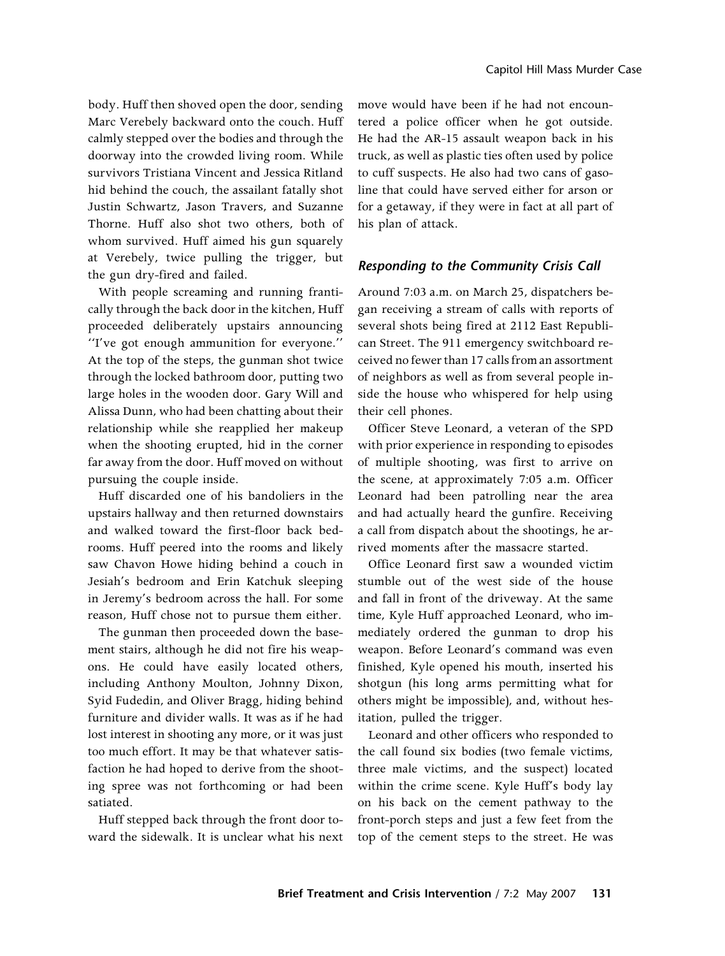body. Huff then shoved open the door, sending Marc Verebely backward onto the couch. Huff calmly stepped over the bodies and through the doorway into the crowded living room. While survivors Tristiana Vincent and Jessica Ritland hid behind the couch, the assailant fatally shot Justin Schwartz, Jason Travers, and Suzanne Thorne. Huff also shot two others, both of whom survived. Huff aimed his gun squarely at Verebely, twice pulling the trigger, but the gun dry-fired and failed.

With people screaming and running frantically through the back door in the kitchen, Huff proceeded deliberately upstairs announcing ''I've got enough ammunition for everyone.'' At the top of the steps, the gunman shot twice through the locked bathroom door, putting two large holes in the wooden door. Gary Will and Alissa Dunn, who had been chatting about their relationship while she reapplied her makeup when the shooting erupted, hid in the corner far away from the door. Huff moved on without pursuing the couple inside.

Huff discarded one of his bandoliers in the upstairs hallway and then returned downstairs and walked toward the first-floor back bedrooms. Huff peered into the rooms and likely saw Chavon Howe hiding behind a couch in Jesiah's bedroom and Erin Katchuk sleeping in Jeremy's bedroom across the hall. For some reason, Huff chose not to pursue them either.

The gunman then proceeded down the basement stairs, although he did not fire his weapons. He could have easily located others, including Anthony Moulton, Johnny Dixon, Syid Fudedin, and Oliver Bragg, hiding behind furniture and divider walls. It was as if he had lost interest in shooting any more, or it was just too much effort. It may be that whatever satisfaction he had hoped to derive from the shooting spree was not forthcoming or had been satiated.

Huff stepped back through the front door toward the sidewalk. It is unclear what his next

move would have been if he had not encountered a police officer when he got outside. He had the AR-15 assault weapon back in his truck, as well as plastic ties often used by police to cuff suspects. He also had two cans of gasoline that could have served either for arson or for a getaway, if they were in fact at all part of his plan of attack.

#### Responding to the Community Crisis Call

Around 7:03 a.m. on March 25, dispatchers began receiving a stream of calls with reports of several shots being fired at 2112 East Republican Street. The 911 emergency switchboard received no fewer than 17 calls from an assortment of neighbors as well as from several people inside the house who whispered for help using their cell phones.

Officer Steve Leonard, a veteran of the SPD with prior experience in responding to episodes of multiple shooting, was first to arrive on the scene, at approximately 7:05 a.m. Officer Leonard had been patrolling near the area and had actually heard the gunfire. Receiving a call from dispatch about the shootings, he arrived moments after the massacre started.

Office Leonard first saw a wounded victim stumble out of the west side of the house and fall in front of the driveway. At the same time, Kyle Huff approached Leonard, who immediately ordered the gunman to drop his weapon. Before Leonard's command was even finished, Kyle opened his mouth, inserted his shotgun (his long arms permitting what for others might be impossible), and, without hesitation, pulled the trigger.

Leonard and other officers who responded to the call found six bodies (two female victims, three male victims, and the suspect) located within the crime scene. Kyle Huff's body lay on his back on the cement pathway to the front-porch steps and just a few feet from the top of the cement steps to the street. He was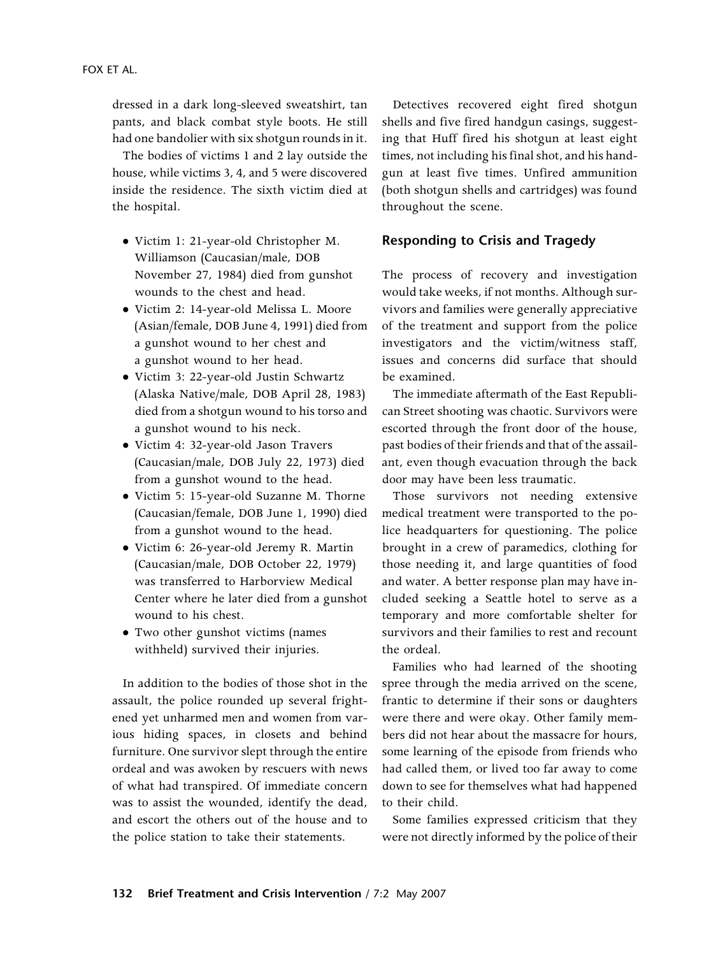dressed in a dark long-sleeved sweatshirt, tan pants, and black combat style boots. He still had one bandolier with six shotgun rounds in it.

The bodies of victims 1 and 2 lay outside the house, while victims 3, 4, and 5 were discovered inside the residence. The sixth victim died at the hospital.

- Victim 1: 21-year-old Christopher M. Williamson (Caucasian/male, DOB November 27, 1984) died from gunshot wounds to the chest and head.
- Victim 2: 14-year-old Melissa L. Moore (Asian/female, DOB June 4, 1991) died from a gunshot wound to her chest and a gunshot wound to her head.
- Victim 3: 22-year-old Justin Schwartz (Alaska Native/male, DOB April 28, 1983) died from a shotgun wound to his torso and a gunshot wound to his neck.
- Victim 4: 32-year-old Jason Travers (Caucasian/male, DOB July 22, 1973) died from a gunshot wound to the head.
- Victim 5: 15-year-old Suzanne M. Thorne (Caucasian/female, DOB June 1, 1990) died from a gunshot wound to the head.
- Victim 6: 26-year-old Jeremy R. Martin (Caucasian/male, DOB October 22, 1979) was transferred to Harborview Medical Center where he later died from a gunshot wound to his chest.
- Two other gunshot victims (names withheld) survived their injuries.

In addition to the bodies of those shot in the assault, the police rounded up several frightened yet unharmed men and women from various hiding spaces, in closets and behind furniture. One survivor slept through the entire ordeal and was awoken by rescuers with news of what had transpired. Of immediate concern was to assist the wounded, identify the dead, and escort the others out of the house and to the police station to take their statements.

Detectives recovered eight fired shotgun shells and five fired handgun casings, suggesting that Huff fired his shotgun at least eight times, not including his final shot, and his handgun at least five times. Unfired ammunition (both shotgun shells and cartridges) was found throughout the scene.

#### Responding to Crisis and Tragedy

The process of recovery and investigation would take weeks, if not months. Although survivors and families were generally appreciative of the treatment and support from the police investigators and the victim/witness staff, issues and concerns did surface that should be examined.

The immediate aftermath of the East Republican Street shooting was chaotic. Survivors were escorted through the front door of the house, past bodies of their friends and that of the assailant, even though evacuation through the back door may have been less traumatic.

Those survivors not needing extensive medical treatment were transported to the police headquarters for questioning. The police brought in a crew of paramedics, clothing for those needing it, and large quantities of food and water. A better response plan may have included seeking a Seattle hotel to serve as a temporary and more comfortable shelter for survivors and their families to rest and recount the ordeal.

Families who had learned of the shooting spree through the media arrived on the scene, frantic to determine if their sons or daughters were there and were okay. Other family members did not hear about the massacre for hours, some learning of the episode from friends who had called them, or lived too far away to come down to see for themselves what had happened to their child.

Some families expressed criticism that they were not directly informed by the police of their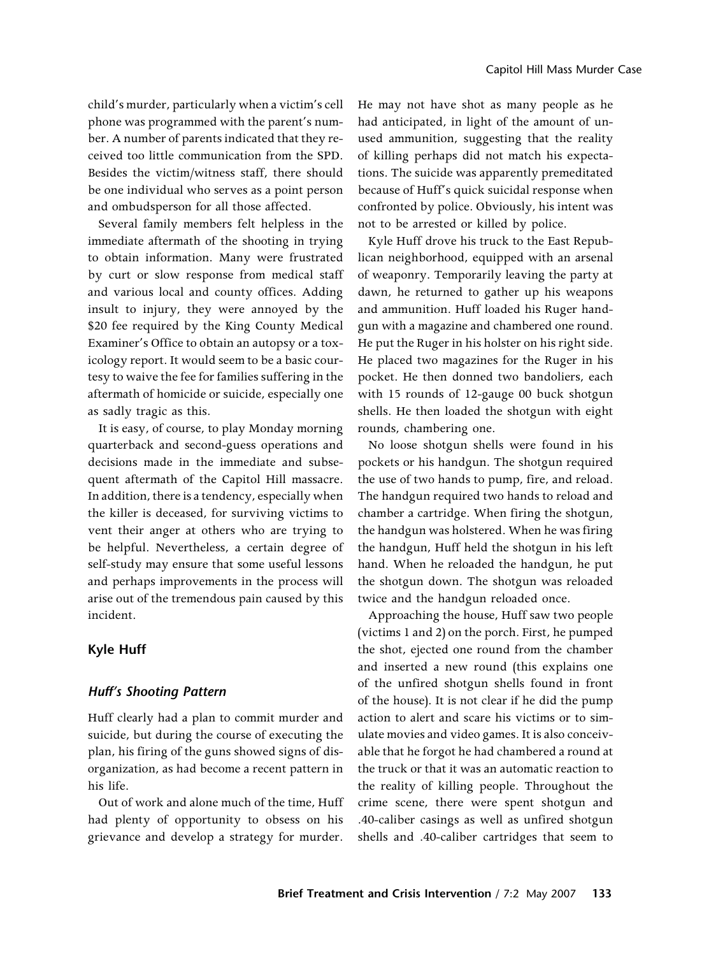child's murder, particularly when a victim's cell phone was programmed with the parent's number. A number of parents indicated that they received too little communication from the SPD. Besides the victim/witness staff, there should be one individual who serves as a point person and ombudsperson for all those affected.

Several family members felt helpless in the immediate aftermath of the shooting in trying to obtain information. Many were frustrated by curt or slow response from medical staff and various local and county offices. Adding insult to injury, they were annoyed by the \$20 fee required by the King County Medical Examiner's Office to obtain an autopsy or a toxicology report. It would seem to be a basic courtesy to waive the fee for families suffering in the aftermath of homicide or suicide, especially one as sadly tragic as this.

It is easy, of course, to play Monday morning quarterback and second-guess operations and decisions made in the immediate and subsequent aftermath of the Capitol Hill massacre. In addition, there is a tendency, especially when the killer is deceased, for surviving victims to vent their anger at others who are trying to be helpful. Nevertheless, a certain degree of self-study may ensure that some useful lessons and perhaps improvements in the process will arise out of the tremendous pain caused by this incident.

#### Kyle Huff

#### Huff's Shooting Pattern

Huff clearly had a plan to commit murder and suicide, but during the course of executing the plan, his firing of the guns showed signs of disorganization, as had become a recent pattern in his life.

Out of work and alone much of the time, Huff had plenty of opportunity to obsess on his grievance and develop a strategy for murder.

He may not have shot as many people as he had anticipated, in light of the amount of unused ammunition, suggesting that the reality of killing perhaps did not match his expectations. The suicide was apparently premeditated because of Huff's quick suicidal response when confronted by police. Obviously, his intent was not to be arrested or killed by police.

Kyle Huff drove his truck to the East Republican neighborhood, equipped with an arsenal of weaponry. Temporarily leaving the party at dawn, he returned to gather up his weapons and ammunition. Huff loaded his Ruger handgun with a magazine and chambered one round. He put the Ruger in his holster on his right side. He placed two magazines for the Ruger in his pocket. He then donned two bandoliers, each with 15 rounds of 12-gauge 00 buck shotgun shells. He then loaded the shotgun with eight rounds, chambering one.

No loose shotgun shells were found in his pockets or his handgun. The shotgun required the use of two hands to pump, fire, and reload. The handgun required two hands to reload and chamber a cartridge. When firing the shotgun, the handgun was holstered. When he was firing the handgun, Huff held the shotgun in his left hand. When he reloaded the handgun, he put the shotgun down. The shotgun was reloaded twice and the handgun reloaded once.

Approaching the house, Huff saw two people (victims 1 and 2) on the porch. First, he pumped the shot, ejected one round from the chamber and inserted a new round (this explains one of the unfired shotgun shells found in front of the house). It is not clear if he did the pump action to alert and scare his victims or to simulate movies and video games. It is also conceivable that he forgot he had chambered a round at the truck or that it was an automatic reaction to the reality of killing people. Throughout the crime scene, there were spent shotgun and .40-caliber casings as well as unfired shotgun shells and .40-caliber cartridges that seem to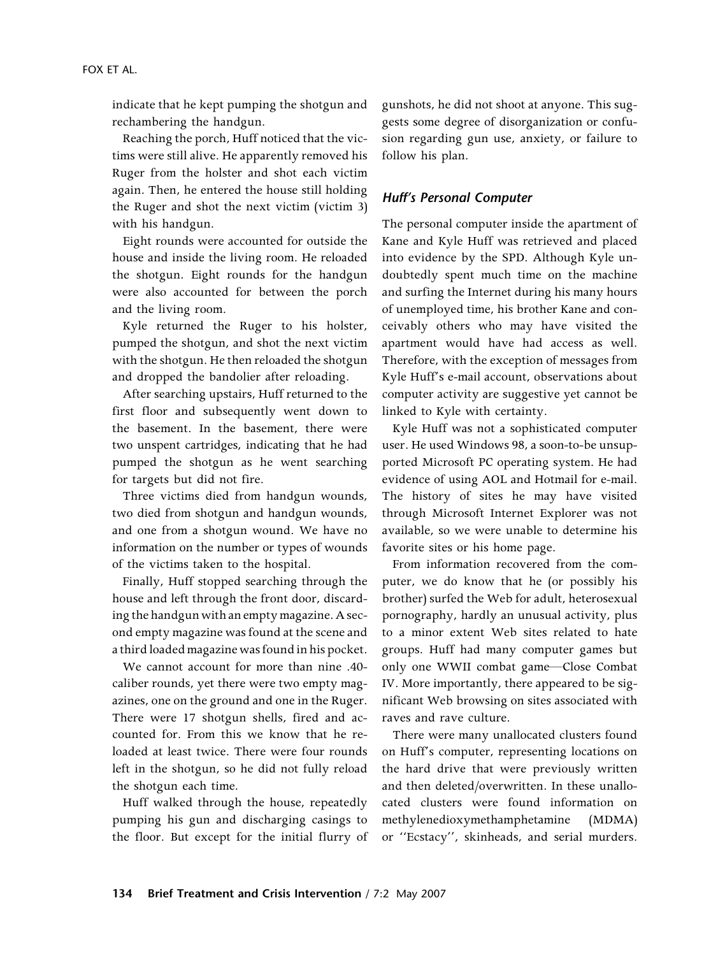indicate that he kept pumping the shotgun and rechambering the handgun.

Reaching the porch, Huff noticed that the victims were still alive. He apparently removed his Ruger from the holster and shot each victim again. Then, he entered the house still holding the Ruger and shot the next victim (victim 3) with his handgun.

Eight rounds were accounted for outside the house and inside the living room. He reloaded the shotgun. Eight rounds for the handgun were also accounted for between the porch and the living room.

Kyle returned the Ruger to his holster, pumped the shotgun, and shot the next victim with the shotgun. He then reloaded the shotgun and dropped the bandolier after reloading.

After searching upstairs, Huff returned to the first floor and subsequently went down to the basement. In the basement, there were two unspent cartridges, indicating that he had pumped the shotgun as he went searching for targets but did not fire.

Three victims died from handgun wounds, two died from shotgun and handgun wounds, and one from a shotgun wound. We have no information on the number or types of wounds of the victims taken to the hospital.

Finally, Huff stopped searching through the house and left through the front door, discarding the handgun with an empty magazine. A second empty magazine was found at the scene and a third loaded magazine was found in his pocket.

We cannot account for more than nine .40 caliber rounds, yet there were two empty magazines, one on the ground and one in the Ruger. There were 17 shotgun shells, fired and accounted for. From this we know that he reloaded at least twice. There were four rounds left in the shotgun, so he did not fully reload the shotgun each time.

Huff walked through the house, repeatedly pumping his gun and discharging casings to the floor. But except for the initial flurry of gunshots, he did not shoot at anyone. This suggests some degree of disorganization or confusion regarding gun use, anxiety, or failure to follow his plan.

## Huff's Personal Computer

The personal computer inside the apartment of Kane and Kyle Huff was retrieved and placed into evidence by the SPD. Although Kyle undoubtedly spent much time on the machine and surfing the Internet during his many hours of unemployed time, his brother Kane and conceivably others who may have visited the apartment would have had access as well. Therefore, with the exception of messages from Kyle Huff's e-mail account, observations about computer activity are suggestive yet cannot be linked to Kyle with certainty.

Kyle Huff was not a sophisticated computer user. He used Windows 98, a soon-to-be unsupported Microsoft PC operating system. He had evidence of using AOL and Hotmail for e-mail. The history of sites he may have visited through Microsoft Internet Explorer was not available, so we were unable to determine his favorite sites or his home page.

From information recovered from the computer, we do know that he (or possibly his brother) surfed the Web for adult, heterosexual pornography, hardly an unusual activity, plus to a minor extent Web sites related to hate groups. Huff had many computer games but only one WWII combat game—Close Combat IV. More importantly, there appeared to be significant Web browsing on sites associated with raves and rave culture.

There were many unallocated clusters found on Huff's computer, representing locations on the hard drive that were previously written and then deleted/overwritten. In these unallocated clusters were found information on methylenedioxymethamphetamine (MDMA) or ''Ecstacy'', skinheads, and serial murders.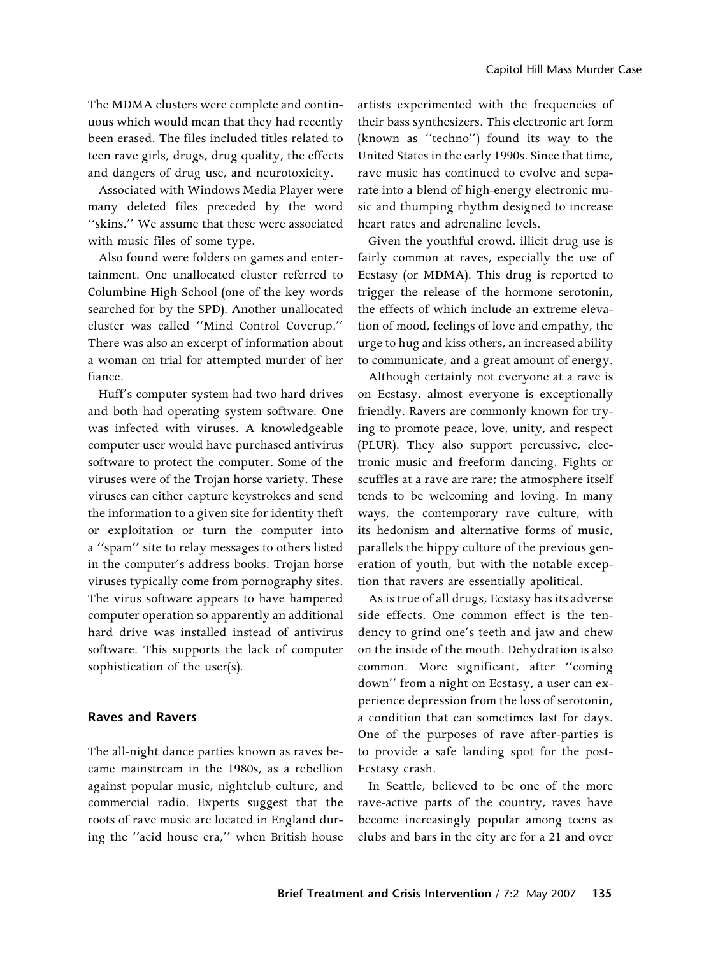The MDMA clusters were complete and continuous which would mean that they had recently been erased. The files included titles related to teen rave girls, drugs, drug quality, the effects and dangers of drug use, and neurotoxicity.

Associated with Windows Media Player were many deleted files preceded by the word ''skins.'' We assume that these were associated with music files of some type.

Also found were folders on games and entertainment. One unallocated cluster referred to Columbine High School (one of the key words searched for by the SPD). Another unallocated cluster was called ''Mind Control Coverup.'' There was also an excerpt of information about a woman on trial for attempted murder of her fiance.

Huff's computer system had two hard drives and both had operating system software. One was infected with viruses. A knowledgeable computer user would have purchased antivirus software to protect the computer. Some of the viruses were of the Trojan horse variety. These viruses can either capture keystrokes and send the information to a given site for identity theft or exploitation or turn the computer into a ''spam'' site to relay messages to others listed in the computer's address books. Trojan horse viruses typically come from pornography sites. The virus software appears to have hampered computer operation so apparently an additional hard drive was installed instead of antivirus software. This supports the lack of computer sophistication of the user(s).

#### Raves and Ravers

The all-night dance parties known as raves became mainstream in the 1980s, as a rebellion against popular music, nightclub culture, and commercial radio. Experts suggest that the roots of rave music are located in England during the ''acid house era,'' when British house

artists experimented with the frequencies of their bass synthesizers. This electronic art form (known as ''techno'') found its way to the United States in the early 1990s. Since that time, rave music has continued to evolve and separate into a blend of high-energy electronic music and thumping rhythm designed to increase heart rates and adrenaline levels.

Given the youthful crowd, illicit drug use is fairly common at raves, especially the use of Ecstasy (or MDMA). This drug is reported to trigger the release of the hormone serotonin, the effects of which include an extreme elevation of mood, feelings of love and empathy, the urge to hug and kiss others, an increased ability to communicate, and a great amount of energy.

Although certainly not everyone at a rave is on Ecstasy, almost everyone is exceptionally friendly. Ravers are commonly known for trying to promote peace, love, unity, and respect (PLUR). They also support percussive, electronic music and freeform dancing. Fights or scuffles at a rave are rare; the atmosphere itself tends to be welcoming and loving. In many ways, the contemporary rave culture, with its hedonism and alternative forms of music, parallels the hippy culture of the previous generation of youth, but with the notable exception that ravers are essentially apolitical.

As is true of all drugs, Ecstasy has its adverse side effects. One common effect is the tendency to grind one's teeth and jaw and chew on the inside of the mouth. Dehydration is also common. More significant, after ''coming down'' from a night on Ecstasy, a user can experience depression from the loss of serotonin, a condition that can sometimes last for days. One of the purposes of rave after-parties is to provide a safe landing spot for the post-Ecstasy crash.

In Seattle, believed to be one of the more rave-active parts of the country, raves have become increasingly popular among teens as clubs and bars in the city are for a 21 and over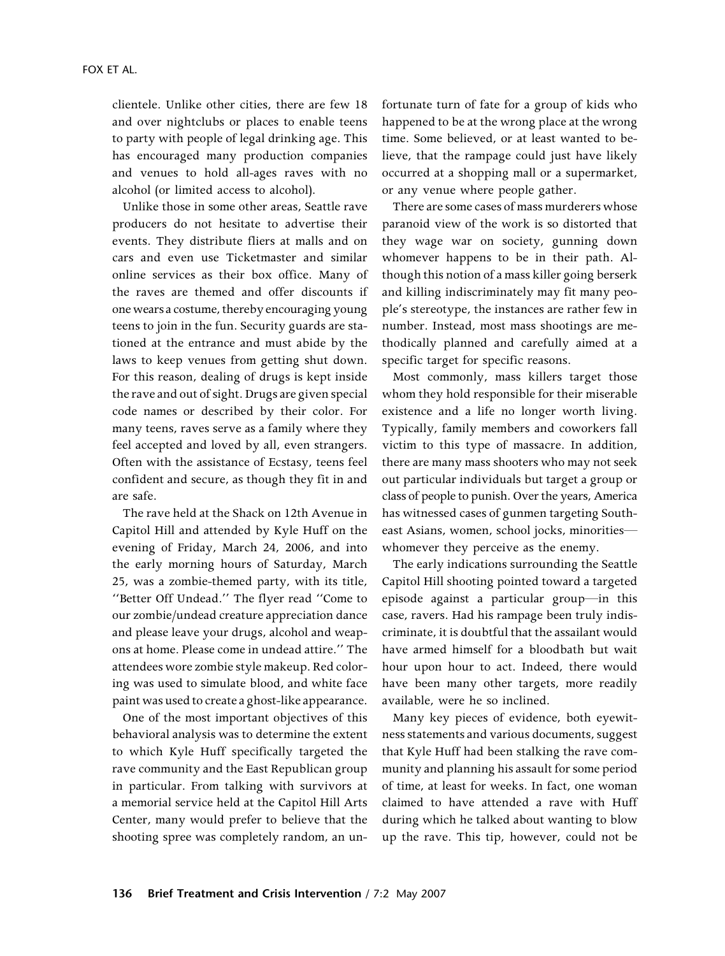clientele. Unlike other cities, there are few 18 and over nightclubs or places to enable teens to party with people of legal drinking age. This has encouraged many production companies and venues to hold all-ages raves with no alcohol (or limited access to alcohol).

Unlike those in some other areas, Seattle rave producers do not hesitate to advertise their events. They distribute fliers at malls and on cars and even use Ticketmaster and similar online services as their box office. Many of the raves are themed and offer discounts if one wears a costume, thereby encouraging young teens to join in the fun. Security guards are stationed at the entrance and must abide by the laws to keep venues from getting shut down. For this reason, dealing of drugs is kept inside the rave and out of sight. Drugs are given special code names or described by their color. For many teens, raves serve as a family where they feel accepted and loved by all, even strangers. Often with the assistance of Ecstasy, teens feel confident and secure, as though they fit in and are safe.

The rave held at the Shack on 12th Avenue in Capitol Hill and attended by Kyle Huff on the evening of Friday, March 24, 2006, and into the early morning hours of Saturday, March 25, was a zombie-themed party, with its title, ''Better Off Undead.'' The flyer read ''Come to our zombie/undead creature appreciation dance and please leave your drugs, alcohol and weapons at home. Please come in undead attire.'' The attendees wore zombie style makeup. Red coloring was used to simulate blood, and white face paint was used to create a ghost-like appearance.

One of the most important objectives of this behavioral analysis was to determine the extent to which Kyle Huff specifically targeted the rave community and the East Republican group in particular. From talking with survivors at a memorial service held at the Capitol Hill Arts Center, many would prefer to believe that the shooting spree was completely random, an unfortunate turn of fate for a group of kids who happened to be at the wrong place at the wrong time. Some believed, or at least wanted to believe, that the rampage could just have likely occurred at a shopping mall or a supermarket, or any venue where people gather.

There are some cases of mass murderers whose paranoid view of the work is so distorted that they wage war on society, gunning down whomever happens to be in their path. Although this notion of a mass killer going berserk and killing indiscriminately may fit many people's stereotype, the instances are rather few in number. Instead, most mass shootings are methodically planned and carefully aimed at a specific target for specific reasons.

Most commonly, mass killers target those whom they hold responsible for their miserable existence and a life no longer worth living. Typically, family members and coworkers fall victim to this type of massacre. In addition, there are many mass shooters who may not seek out particular individuals but target a group or class of people to punish. Over the years, America has witnessed cases of gunmen targeting Southeast Asians, women, school jocks, minorities whomever they perceive as the enemy.

The early indications surrounding the Seattle Capitol Hill shooting pointed toward a targeted episode against a particular group—in this case, ravers. Had his rampage been truly indiscriminate, it is doubtful that the assailant would have armed himself for a bloodbath but wait hour upon hour to act. Indeed, there would have been many other targets, more readily available, were he so inclined.

Many key pieces of evidence, both eyewitness statements and various documents, suggest that Kyle Huff had been stalking the rave community and planning his assault for some period of time, at least for weeks. In fact, one woman claimed to have attended a rave with Huff during which he talked about wanting to blow up the rave. This tip, however, could not be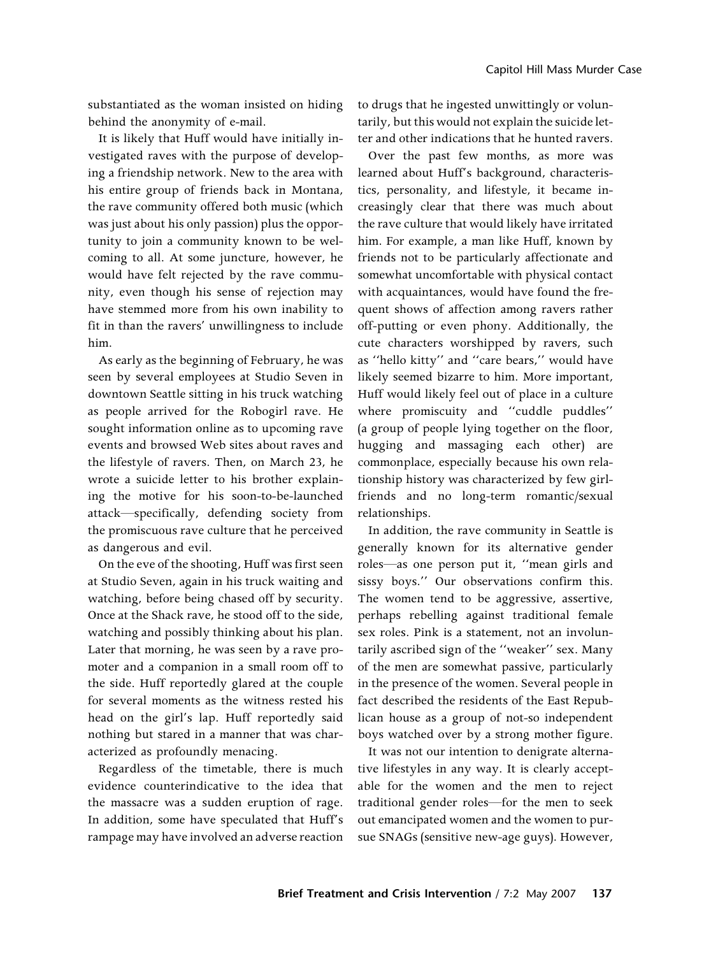substantiated as the woman insisted on hiding behind the anonymity of e-mail.

It is likely that Huff would have initially investigated raves with the purpose of developing a friendship network. New to the area with his entire group of friends back in Montana, the rave community offered both music (which was just about his only passion) plus the opportunity to join a community known to be welcoming to all. At some juncture, however, he would have felt rejected by the rave community, even though his sense of rejection may have stemmed more from his own inability to fit in than the ravers' unwillingness to include him.

As early as the beginning of February, he was seen by several employees at Studio Seven in downtown Seattle sitting in his truck watching as people arrived for the Robogirl rave. He sought information online as to upcoming rave events and browsed Web sites about raves and the lifestyle of ravers. Then, on March 23, he wrote a suicide letter to his brother explaining the motive for his soon-to-be-launched attack—specifically, defending society from the promiscuous rave culture that he perceived as dangerous and evil.

On the eve of the shooting, Huff was first seen at Studio Seven, again in his truck waiting and watching, before being chased off by security. Once at the Shack rave, he stood off to the side, watching and possibly thinking about his plan. Later that morning, he was seen by a rave promoter and a companion in a small room off to the side. Huff reportedly glared at the couple for several moments as the witness rested his head on the girl's lap. Huff reportedly said nothing but stared in a manner that was characterized as profoundly menacing.

Regardless of the timetable, there is much evidence counterindicative to the idea that the massacre was a sudden eruption of rage. In addition, some have speculated that Huff's rampage may have involved an adverse reaction

to drugs that he ingested unwittingly or voluntarily, but this would not explain the suicide letter and other indications that he hunted ravers.

Over the past few months, as more was learned about Huff's background, characteristics, personality, and lifestyle, it became increasingly clear that there was much about the rave culture that would likely have irritated him. For example, a man like Huff, known by friends not to be particularly affectionate and somewhat uncomfortable with physical contact with acquaintances, would have found the frequent shows of affection among ravers rather off-putting or even phony. Additionally, the cute characters worshipped by ravers, such as ''hello kitty'' and ''care bears,'' would have likely seemed bizarre to him. More important, Huff would likely feel out of place in a culture where promiscuity and ''cuddle puddles'' (a group of people lying together on the floor, hugging and massaging each other) are commonplace, especially because his own relationship history was characterized by few girlfriends and no long-term romantic/sexual relationships.

In addition, the rave community in Seattle is generally known for its alternative gender roles—as one person put it, ''mean girls and sissy boys.'' Our observations confirm this. The women tend to be aggressive, assertive, perhaps rebelling against traditional female sex roles. Pink is a statement, not an involuntarily ascribed sign of the ''weaker'' sex. Many of the men are somewhat passive, particularly in the presence of the women. Several people in fact described the residents of the East Republican house as a group of not-so independent boys watched over by a strong mother figure.

It was not our intention to denigrate alternative lifestyles in any way. It is clearly acceptable for the women and the men to reject traditional gender roles—for the men to seek out emancipated women and the women to pursue SNAGs (sensitive new-age guys). However,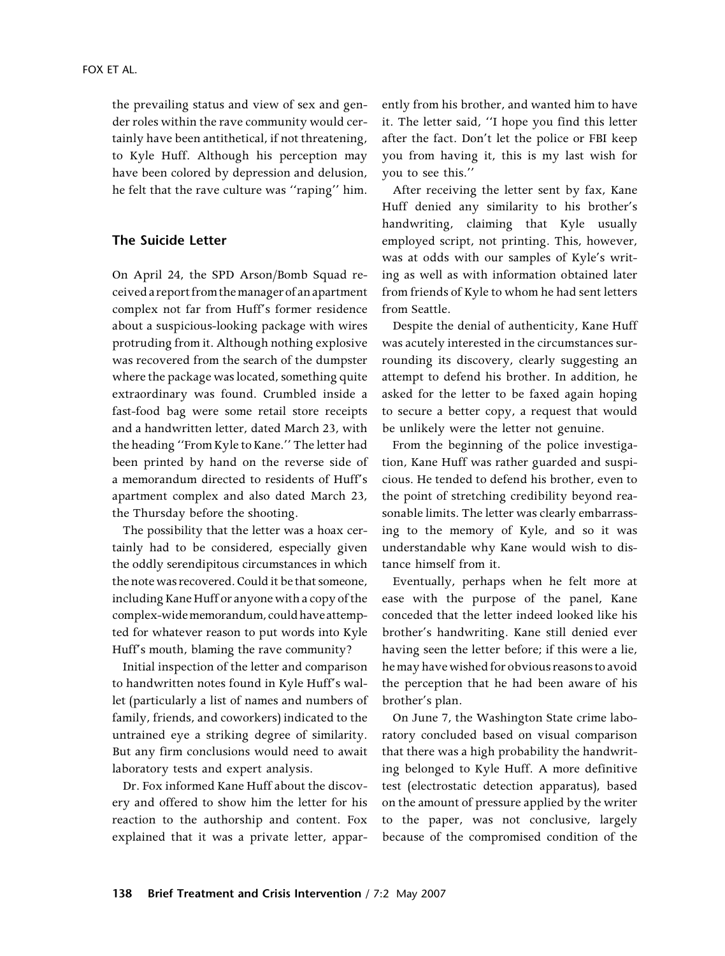the prevailing status and view of sex and gender roles within the rave community would certainly have been antithetical, if not threatening, to Kyle Huff. Although his perception may have been colored by depression and delusion, he felt that the rave culture was ''raping'' him.

#### The Suicide Letter

On April 24, the SPD Arson/Bomb Squad received a report from themanagerof an apartment complex not far from Huff's former residence about a suspicious-looking package with wires protruding from it. Although nothing explosive was recovered from the search of the dumpster where the package was located, something quite extraordinary was found. Crumbled inside a fast-food bag were some retail store receipts and a handwritten letter, dated March 23, with the heading ''From Kyle to Kane.'' The letter had been printed by hand on the reverse side of a memorandum directed to residents of Huff's apartment complex and also dated March 23, the Thursday before the shooting.

The possibility that the letter was a hoax certainly had to be considered, especially given the oddly serendipitous circumstances in which the note was recovered. Could it be that someone, including Kane Huff or anyone with a copy of the complex-widememorandum, could haveattempted for whatever reason to put words into Kyle Huff's mouth, blaming the rave community?

Initial inspection of the letter and comparison to handwritten notes found in Kyle Huff's wallet (particularly a list of names and numbers of family, friends, and coworkers) indicated to the untrained eye a striking degree of similarity. But any firm conclusions would need to await laboratory tests and expert analysis.

Dr. Fox informed Kane Huff about the discovery and offered to show him the letter for his reaction to the authorship and content. Fox explained that it was a private letter, apparently from his brother, and wanted him to have it. The letter said, ''I hope you find this letter after the fact. Don't let the police or FBI keep you from having it, this is my last wish for you to see this.''

After receiving the letter sent by fax, Kane Huff denied any similarity to his brother's handwriting, claiming that Kyle usually employed script, not printing. This, however, was at odds with our samples of Kyle's writing as well as with information obtained later from friends of Kyle to whom he had sent letters from Seattle.

Despite the denial of authenticity, Kane Huff was acutely interested in the circumstances surrounding its discovery, clearly suggesting an attempt to defend his brother. In addition, he asked for the letter to be faxed again hoping to secure a better copy, a request that would be unlikely were the letter not genuine.

From the beginning of the police investigation, Kane Huff was rather guarded and suspicious. He tended to defend his brother, even to the point of stretching credibility beyond reasonable limits. The letter was clearly embarrassing to the memory of Kyle, and so it was understandable why Kane would wish to distance himself from it.

Eventually, perhaps when he felt more at ease with the purpose of the panel, Kane conceded that the letter indeed looked like his brother's handwriting. Kane still denied ever having seen the letter before; if this were a lie, he may have wished for obvious reasons to avoid the perception that he had been aware of his brother's plan.

On June 7, the Washington State crime laboratory concluded based on visual comparison that there was a high probability the handwriting belonged to Kyle Huff. A more definitive test (electrostatic detection apparatus), based on the amount of pressure applied by the writer to the paper, was not conclusive, largely because of the compromised condition of the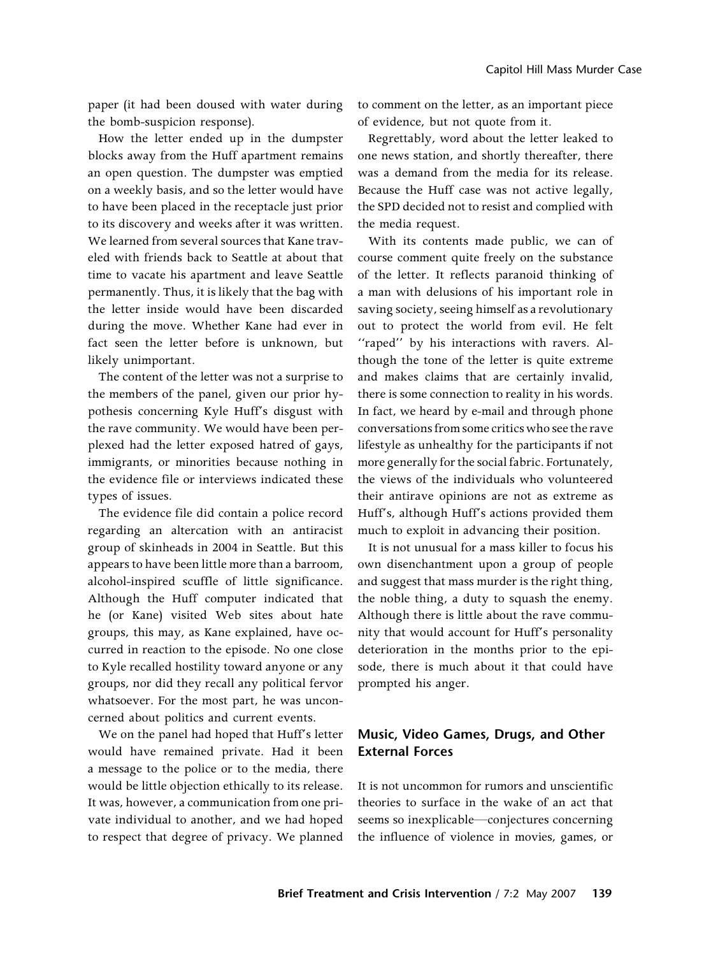paper (it had been doused with water during the bomb-suspicion response).

How the letter ended up in the dumpster blocks away from the Huff apartment remains an open question. The dumpster was emptied on a weekly basis, and so the letter would have to have been placed in the receptacle just prior to its discovery and weeks after it was written. We learned from several sources that Kane traveled with friends back to Seattle at about that time to vacate his apartment and leave Seattle permanently. Thus, it is likely that the bag with the letter inside would have been discarded during the move. Whether Kane had ever in fact seen the letter before is unknown, but likely unimportant.

The content of the letter was not a surprise to the members of the panel, given our prior hypothesis concerning Kyle Huff's disgust with the rave community. We would have been perplexed had the letter exposed hatred of gays, immigrants, or minorities because nothing in the evidence file or interviews indicated these types of issues.

The evidence file did contain a police record regarding an altercation with an antiracist group of skinheads in 2004 in Seattle. But this appears to have been little more than a barroom, alcohol-inspired scuffle of little significance. Although the Huff computer indicated that he (or Kane) visited Web sites about hate groups, this may, as Kane explained, have occurred in reaction to the episode. No one close to Kyle recalled hostility toward anyone or any groups, nor did they recall any political fervor whatsoever. For the most part, he was unconcerned about politics and current events.

We on the panel had hoped that Huff's letter would have remained private. Had it been a message to the police or to the media, there would be little objection ethically to its release. It was, however, a communication from one private individual to another, and we had hoped to respect that degree of privacy. We planned

to comment on the letter, as an important piece of evidence, but not quote from it.

Regrettably, word about the letter leaked to one news station, and shortly thereafter, there was a demand from the media for its release. Because the Huff case was not active legally, the SPD decided not to resist and complied with the media request.

With its contents made public, we can of course comment quite freely on the substance of the letter. It reflects paranoid thinking of a man with delusions of his important role in saving society, seeing himself as a revolutionary out to protect the world from evil. He felt "raped" by his interactions with ravers. Although the tone of the letter is quite extreme and makes claims that are certainly invalid, there is some connection to reality in his words. In fact, we heard by e-mail and through phone conversations from some critics who see the rave lifestyle as unhealthy for the participants if not more generally for the social fabric. Fortunately, the views of the individuals who volunteered their antirave opinions are not as extreme as Huff's, although Huff's actions provided them much to exploit in advancing their position.

It is not unusual for a mass killer to focus his own disenchantment upon a group of people and suggest that mass murder is the right thing, the noble thing, a duty to squash the enemy. Although there is little about the rave community that would account for Huff's personality deterioration in the months prior to the episode, there is much about it that could have prompted his anger.

# Music, Video Games, Drugs, and Other External Forces

It is not uncommon for rumors and unscientific theories to surface in the wake of an act that seems so inexplicable—conjectures concerning the influence of violence in movies, games, or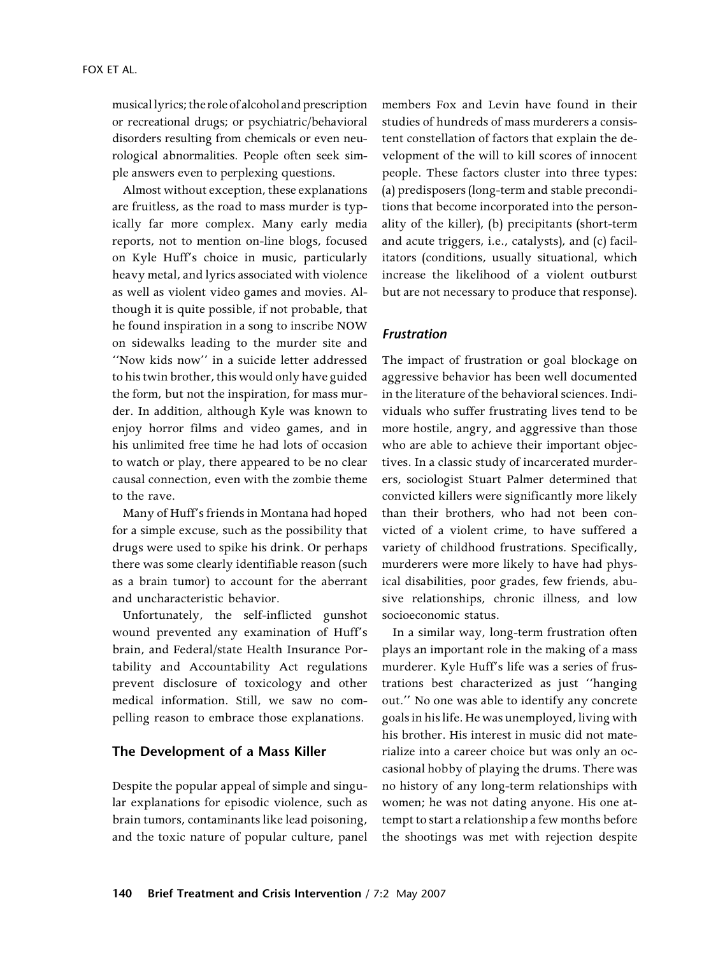musicallyrics; the role of alcohol and prescription or recreational drugs; or psychiatric/behavioral disorders resulting from chemicals or even neurological abnormalities. People often seek simple answers even to perplexing questions.

Almost without exception, these explanations are fruitless, as the road to mass murder is typically far more complex. Many early media reports, not to mention on-line blogs, focused on Kyle Huff's choice in music, particularly heavy metal, and lyrics associated with violence as well as violent video games and movies. Although it is quite possible, if not probable, that he found inspiration in a song to inscribe NOW on sidewalks leading to the murder site and ''Now kids now'' in a suicide letter addressed to his twin brother, this would only have guided the form, but not the inspiration, for mass murder. In addition, although Kyle was known to enjoy horror films and video games, and in his unlimited free time he had lots of occasion to watch or play, there appeared to be no clear causal connection, even with the zombie theme to the rave.

Many of Huff's friends in Montana had hoped for a simple excuse, such as the possibility that drugs were used to spike his drink. Or perhaps there was some clearly identifiable reason (such as a brain tumor) to account for the aberrant and uncharacteristic behavior.

Unfortunately, the self-inflicted gunshot wound prevented any examination of Huff's brain, and Federal/state Health Insurance Portability and Accountability Act regulations prevent disclosure of toxicology and other medical information. Still, we saw no compelling reason to embrace those explanations.

#### The Development of a Mass Killer

Despite the popular appeal of simple and singular explanations for episodic violence, such as brain tumors, contaminants like lead poisoning, and the toxic nature of popular culture, panel members Fox and Levin have found in their studies of hundreds of mass murderers a consistent constellation of factors that explain the development of the will to kill scores of innocent people. These factors cluster into three types: (a) predisposers (long-term and stable preconditions that become incorporated into the personality of the killer), (b) precipitants (short-term and acute triggers, i.e., catalysts), and (c) facilitators (conditions, usually situational, which increase the likelihood of a violent outburst but are not necessary to produce that response).

#### Frustration

The impact of frustration or goal blockage on aggressive behavior has been well documented in the literature of the behavioral sciences. Individuals who suffer frustrating lives tend to be more hostile, angry, and aggressive than those who are able to achieve their important objectives. In a classic study of incarcerated murderers, sociologist Stuart Palmer determined that convicted killers were significantly more likely than their brothers, who had not been convicted of a violent crime, to have suffered a variety of childhood frustrations. Specifically, murderers were more likely to have had physical disabilities, poor grades, few friends, abusive relationships, chronic illness, and low socioeconomic status.

In a similar way, long-term frustration often plays an important role in the making of a mass murderer. Kyle Huff's life was a series of frustrations best characterized as just ''hanging out.'' No one was able to identify any concrete goals in his life. He was unemployed, living with his brother. His interest in music did not materialize into a career choice but was only an occasional hobby of playing the drums. There was no history of any long-term relationships with women; he was not dating anyone. His one attempt to start a relationship a few months before the shootings was met with rejection despite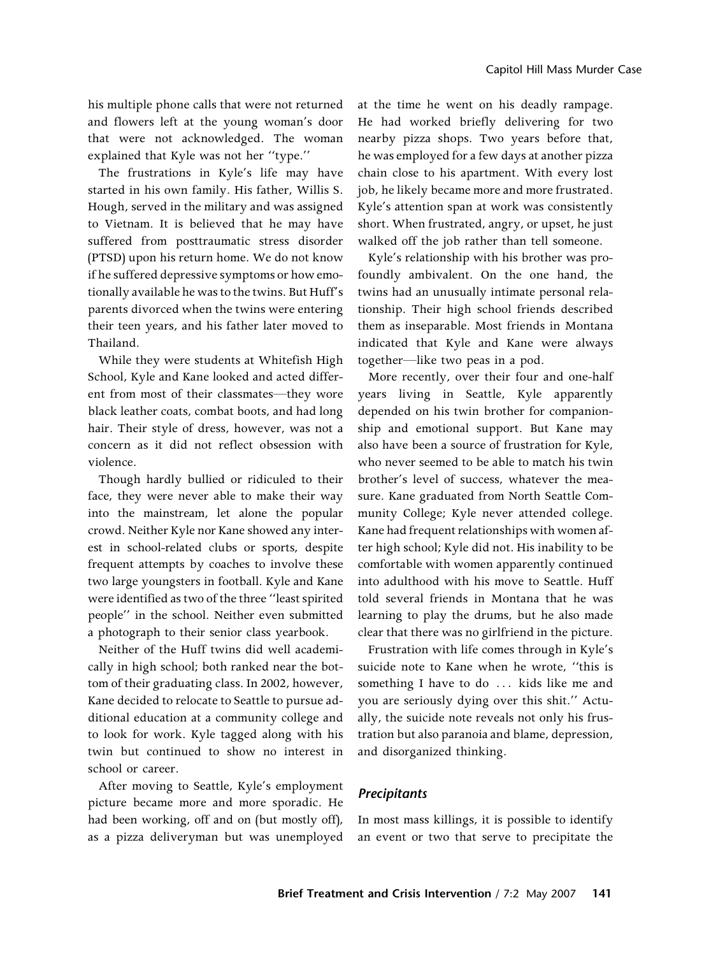his multiple phone calls that were not returned and flowers left at the young woman's door that were not acknowledged. The woman explained that Kyle was not her ''type.''

The frustrations in Kyle's life may have started in his own family. His father, Willis S. Hough, served in the military and was assigned to Vietnam. It is believed that he may have suffered from posttraumatic stress disorder (PTSD) upon his return home. We do not know if he suffered depressive symptoms or how emotionally available he was to the twins. But Huff's parents divorced when the twins were entering their teen years, and his father later moved to Thailand.

While they were students at Whitefish High School, Kyle and Kane looked and acted different from most of their classmates—they wore black leather coats, combat boots, and had long hair. Their style of dress, however, was not a concern as it did not reflect obsession with violence.

Though hardly bullied or ridiculed to their face, they were never able to make their way into the mainstream, let alone the popular crowd. Neither Kyle nor Kane showed any interest in school-related clubs or sports, despite frequent attempts by coaches to involve these two large youngsters in football. Kyle and Kane were identified as two of the three ''least spirited people'' in the school. Neither even submitted a photograph to their senior class yearbook.

Neither of the Huff twins did well academically in high school; both ranked near the bottom of their graduating class. In 2002, however, Kane decided to relocate to Seattle to pursue additional education at a community college and to look for work. Kyle tagged along with his twin but continued to show no interest in school or career.

After moving to Seattle, Kyle's employment picture became more and more sporadic. He had been working, off and on (but mostly off), as a pizza deliveryman but was unemployed

at the time he went on his deadly rampage. He had worked briefly delivering for two nearby pizza shops. Two years before that, he was employed for a few days at another pizza chain close to his apartment. With every lost job, he likely became more and more frustrated. Kyle's attention span at work was consistently short. When frustrated, angry, or upset, he just walked off the job rather than tell someone.

Kyle's relationship with his brother was profoundly ambivalent. On the one hand, the twins had an unusually intimate personal relationship. Their high school friends described them as inseparable. Most friends in Montana indicated that Kyle and Kane were always together—like two peas in a pod.

More recently, over their four and one-half years living in Seattle, Kyle apparently depended on his twin brother for companionship and emotional support. But Kane may also have been a source of frustration for Kyle, who never seemed to be able to match his twin brother's level of success, whatever the measure. Kane graduated from North Seattle Community College; Kyle never attended college. Kane had frequent relationships with women after high school; Kyle did not. His inability to be comfortable with women apparently continued into adulthood with his move to Seattle. Huff told several friends in Montana that he was learning to play the drums, but he also made clear that there was no girlfriend in the picture.

Frustration with life comes through in Kyle's suicide note to Kane when he wrote, ''this is something I have to do ... kids like me and you are seriously dying over this shit.'' Actually, the suicide note reveals not only his frustration but also paranoia and blame, depression, and disorganized thinking.

#### **Precipitants**

In most mass killings, it is possible to identify an event or two that serve to precipitate the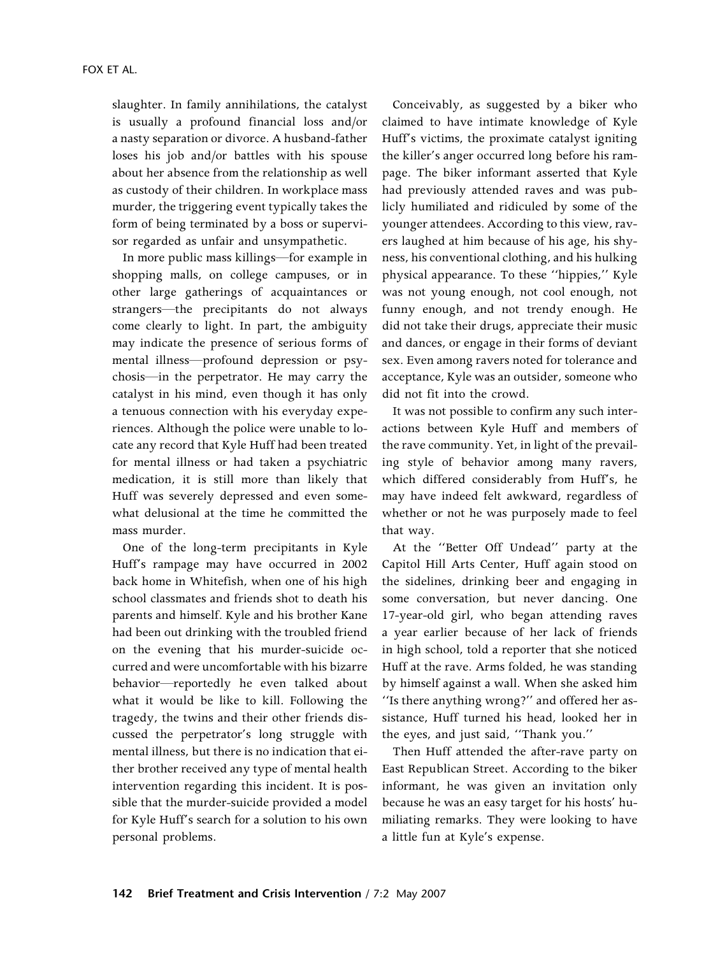slaughter. In family annihilations, the catalyst is usually a profound financial loss and/or a nasty separation or divorce. A husband-father loses his job and/or battles with his spouse about her absence from the relationship as well as custody of their children. In workplace mass murder, the triggering event typically takes the form of being terminated by a boss or supervisor regarded as unfair and unsympathetic.

In more public mass killings—for example in shopping malls, on college campuses, or in other large gatherings of acquaintances or strangers—the precipitants do not always come clearly to light. In part, the ambiguity may indicate the presence of serious forms of mental illness—profound depression or psychosis—in the perpetrator. He may carry the catalyst in his mind, even though it has only a tenuous connection with his everyday experiences. Although the police were unable to locate any record that Kyle Huff had been treated for mental illness or had taken a psychiatric medication, it is still more than likely that Huff was severely depressed and even somewhat delusional at the time he committed the mass murder.

One of the long-term precipitants in Kyle Huff's rampage may have occurred in 2002 back home in Whitefish, when one of his high school classmates and friends shot to death his parents and himself. Kyle and his brother Kane had been out drinking with the troubled friend on the evening that his murder-suicide occurred and were uncomfortable with his bizarre behavior—reportedly he even talked about what it would be like to kill. Following the tragedy, the twins and their other friends discussed the perpetrator's long struggle with mental illness, but there is no indication that either brother received any type of mental health intervention regarding this incident. It is possible that the murder-suicide provided a model for Kyle Huff's search for a solution to his own personal problems.

Conceivably, as suggested by a biker who claimed to have intimate knowledge of Kyle Huff's victims, the proximate catalyst igniting the killer's anger occurred long before his rampage. The biker informant asserted that Kyle had previously attended raves and was publicly humiliated and ridiculed by some of the younger attendees. According to this view, ravers laughed at him because of his age, his shyness, his conventional clothing, and his hulking physical appearance. To these ''hippies,'' Kyle was not young enough, not cool enough, not funny enough, and not trendy enough. He did not take their drugs, appreciate their music and dances, or engage in their forms of deviant sex. Even among ravers noted for tolerance and acceptance, Kyle was an outsider, someone who did not fit into the crowd.

It was not possible to confirm any such interactions between Kyle Huff and members of the rave community. Yet, in light of the prevailing style of behavior among many ravers, which differed considerably from Huff's, he may have indeed felt awkward, regardless of whether or not he was purposely made to feel that way.

At the ''Better Off Undead'' party at the Capitol Hill Arts Center, Huff again stood on the sidelines, drinking beer and engaging in some conversation, but never dancing. One 17-year-old girl, who began attending raves a year earlier because of her lack of friends in high school, told a reporter that she noticed Huff at the rave. Arms folded, he was standing by himself against a wall. When she asked him ''Is there anything wrong?'' and offered her assistance, Huff turned his head, looked her in the eyes, and just said, ''Thank you.''

Then Huff attended the after-rave party on East Republican Street. According to the biker informant, he was given an invitation only because he was an easy target for his hosts' humiliating remarks. They were looking to have a little fun at Kyle's expense.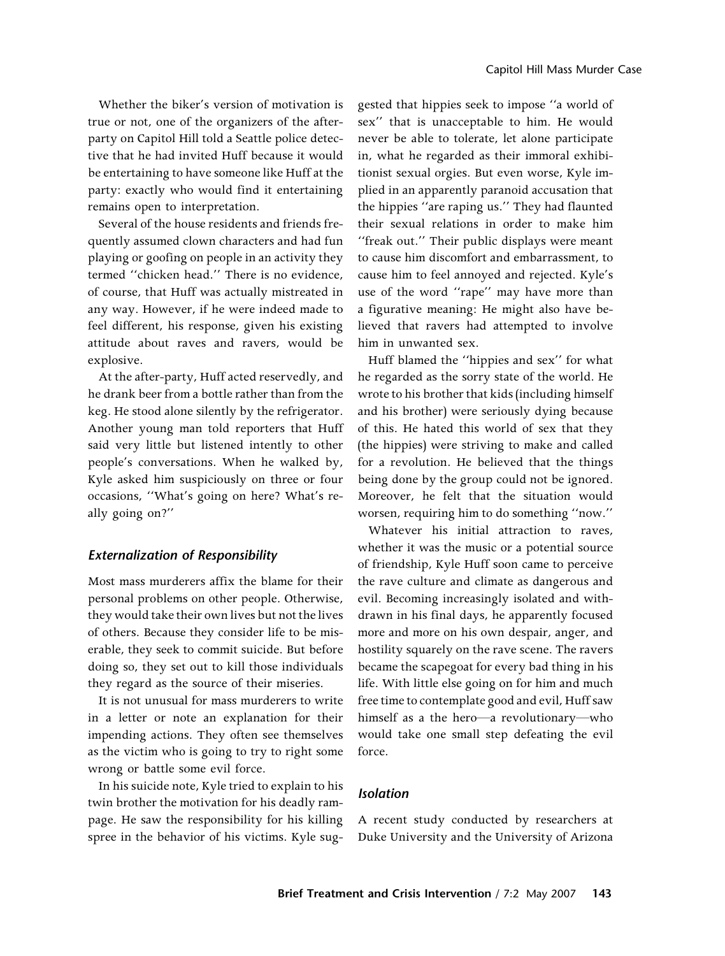Whether the biker's version of motivation is true or not, one of the organizers of the afterparty on Capitol Hill told a Seattle police detective that he had invited Huff because it would be entertaining to have someone like Huff at the party: exactly who would find it entertaining remains open to interpretation.

Several of the house residents and friends frequently assumed clown characters and had fun playing or goofing on people in an activity they termed ''chicken head.'' There is no evidence, of course, that Huff was actually mistreated in any way. However, if he were indeed made to feel different, his response, given his existing attitude about raves and ravers, would be explosive.

At the after-party, Huff acted reservedly, and he drank beer from a bottle rather than from the keg. He stood alone silently by the refrigerator. Another young man told reporters that Huff said very little but listened intently to other people's conversations. When he walked by, Kyle asked him suspiciously on three or four occasions, ''What's going on here? What's really going on?''

#### Externalization of Responsibility

Most mass murderers affix the blame for their personal problems on other people. Otherwise, they would take their own lives but not the lives of others. Because they consider life to be miserable, they seek to commit suicide. But before doing so, they set out to kill those individuals they regard as the source of their miseries.

It is not unusual for mass murderers to write in a letter or note an explanation for their impending actions. They often see themselves as the victim who is going to try to right some wrong or battle some evil force.

In his suicide note, Kyle tried to explain to his twin brother the motivation for his deadly rampage. He saw the responsibility for his killing spree in the behavior of his victims. Kyle suggested that hippies seek to impose ''a world of sex'' that is unacceptable to him. He would never be able to tolerate, let alone participate in, what he regarded as their immoral exhibitionist sexual orgies. But even worse, Kyle implied in an apparently paranoid accusation that the hippies ''are raping us.'' They had flaunted their sexual relations in order to make him ''freak out.'' Their public displays were meant to cause him discomfort and embarrassment, to cause him to feel annoyed and rejected. Kyle's use of the word ''rape'' may have more than a figurative meaning: He might also have believed that ravers had attempted to involve him in unwanted sex.

Huff blamed the ''hippies and sex'' for what he regarded as the sorry state of the world. He wrote to his brother that kids (including himself and his brother) were seriously dying because of this. He hated this world of sex that they (the hippies) were striving to make and called for a revolution. He believed that the things being done by the group could not be ignored. Moreover, he felt that the situation would worsen, requiring him to do something ''now.''

Whatever his initial attraction to raves, whether it was the music or a potential source of friendship, Kyle Huff soon came to perceive the rave culture and climate as dangerous and evil. Becoming increasingly isolated and withdrawn in his final days, he apparently focused more and more on his own despair, anger, and hostility squarely on the rave scene. The ravers became the scapegoat for every bad thing in his life. With little else going on for him and much free time to contemplate good and evil, Huff saw himself as a the hero—a revolutionary—who would take one small step defeating the evil force.

#### Isolation

A recent study conducted by researchers at Duke University and the University of Arizona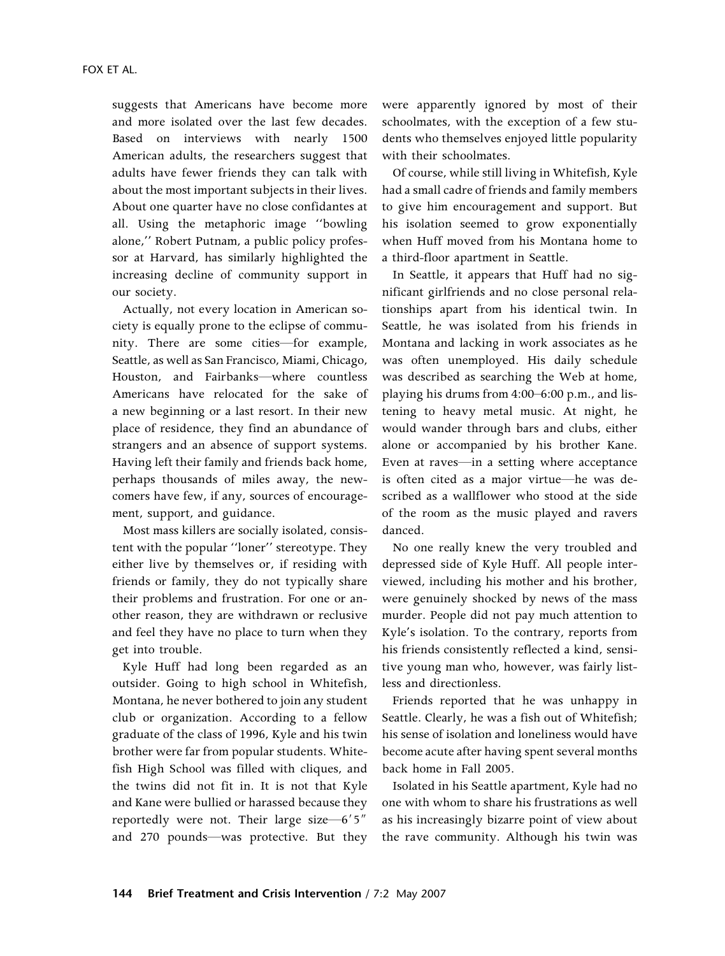suggests that Americans have become more and more isolated over the last few decades. Based on interviews with nearly 1500 American adults, the researchers suggest that adults have fewer friends they can talk with about the most important subjects in their lives. About one quarter have no close confidantes at all. Using the metaphoric image ''bowling alone,'' Robert Putnam, a public policy professor at Harvard, has similarly highlighted the increasing decline of community support in our society.

Actually, not every location in American society is equally prone to the eclipse of community. There are some cities—for example, Seattle, as well as San Francisco, Miami, Chicago, Houston, and Fairbanks—where countless Americans have relocated for the sake of a new beginning or a last resort. In their new place of residence, they find an abundance of strangers and an absence of support systems. Having left their family and friends back home, perhaps thousands of miles away, the newcomers have few, if any, sources of encouragement, support, and guidance.

Most mass killers are socially isolated, consistent with the popular ''loner'' stereotype. They either live by themselves or, if residing with friends or family, they do not typically share their problems and frustration. For one or another reason, they are withdrawn or reclusive and feel they have no place to turn when they get into trouble.

Kyle Huff had long been regarded as an outsider. Going to high school in Whitefish, Montana, he never bothered to join any student club or organization. According to a fellow graduate of the class of 1996, Kyle and his twin brother were far from popular students. Whitefish High School was filled with cliques, and the twins did not fit in. It is not that Kyle and Kane were bullied or harassed because they reportedly were not. Their large size  $-6'5''$ and 270 pounds—was protective. But they

were apparently ignored by most of their schoolmates, with the exception of a few students who themselves enjoyed little popularity with their schoolmates.

Of course, while still living in Whitefish, Kyle had a small cadre of friends and family members to give him encouragement and support. But his isolation seemed to grow exponentially when Huff moved from his Montana home to a third-floor apartment in Seattle.

In Seattle, it appears that Huff had no significant girlfriends and no close personal relationships apart from his identical twin. In Seattle, he was isolated from his friends in Montana and lacking in work associates as he was often unemployed. His daily schedule was described as searching the Web at home, playing his drums from 4:00–6:00 p.m., and listening to heavy metal music. At night, he would wander through bars and clubs, either alone or accompanied by his brother Kane. Even at raves—in a setting where acceptance is often cited as a major virtue—he was described as a wallflower who stood at the side of the room as the music played and ravers danced.

No one really knew the very troubled and depressed side of Kyle Huff. All people interviewed, including his mother and his brother, were genuinely shocked by news of the mass murder. People did not pay much attention to Kyle's isolation. To the contrary, reports from his friends consistently reflected a kind, sensitive young man who, however, was fairly listless and directionless.

Friends reported that he was unhappy in Seattle. Clearly, he was a fish out of Whitefish; his sense of isolation and loneliness would have become acute after having spent several months back home in Fall 2005.

Isolated in his Seattle apartment, Kyle had no one with whom to share his frustrations as well as his increasingly bizarre point of view about the rave community. Although his twin was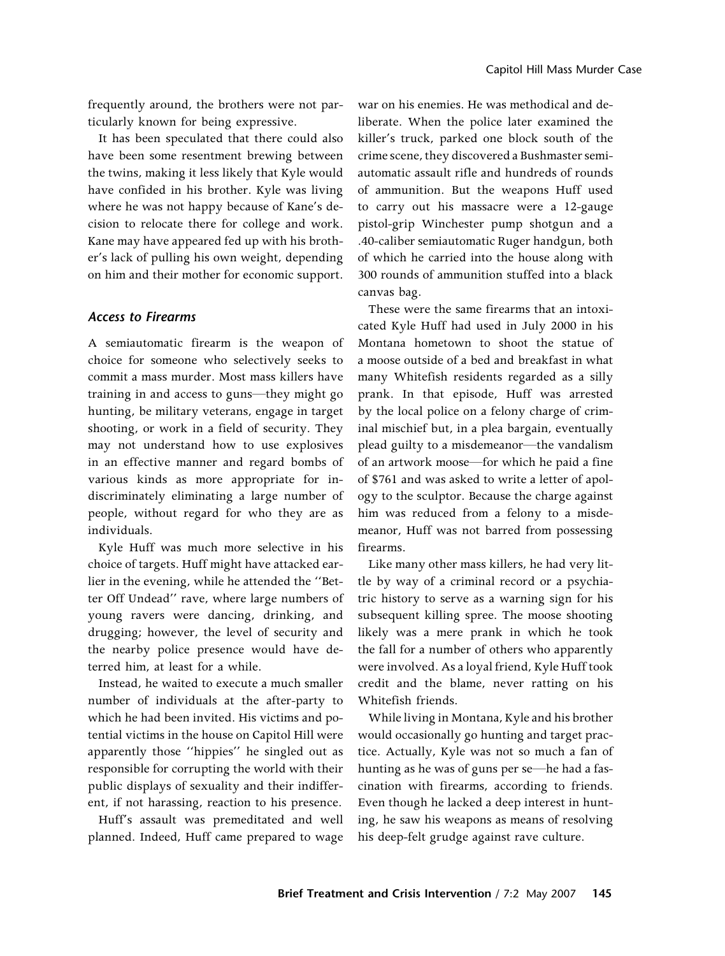frequently around, the brothers were not particularly known for being expressive.

It has been speculated that there could also have been some resentment brewing between the twins, making it less likely that Kyle would have confided in his brother. Kyle was living where he was not happy because of Kane's decision to relocate there for college and work. Kane may have appeared fed up with his brother's lack of pulling his own weight, depending on him and their mother for economic support.

#### Access to Firearms

A semiautomatic firearm is the weapon of choice for someone who selectively seeks to commit a mass murder. Most mass killers have training in and access to guns—they might go hunting, be military veterans, engage in target shooting, or work in a field of security. They may not understand how to use explosives in an effective manner and regard bombs of various kinds as more appropriate for indiscriminately eliminating a large number of people, without regard for who they are as individuals.

Kyle Huff was much more selective in his choice of targets. Huff might have attacked earlier in the evening, while he attended the ''Better Off Undead'' rave, where large numbers of young ravers were dancing, drinking, and drugging; however, the level of security and the nearby police presence would have deterred him, at least for a while.

Instead, he waited to execute a much smaller number of individuals at the after-party to which he had been invited. His victims and potential victims in the house on Capitol Hill were apparently those ''hippies'' he singled out as responsible for corrupting the world with their public displays of sexuality and their indifferent, if not harassing, reaction to his presence.

Huff's assault was premeditated and well planned. Indeed, Huff came prepared to wage

war on his enemies. He was methodical and deliberate. When the police later examined the killer's truck, parked one block south of the crime scene, they discovered a Bushmaster semiautomatic assault rifle and hundreds of rounds of ammunition. But the weapons Huff used to carry out his massacre were a 12-gauge pistol-grip Winchester pump shotgun and a .40-caliber semiautomatic Ruger handgun, both of which he carried into the house along with 300 rounds of ammunition stuffed into a black canvas bag.

These were the same firearms that an intoxicated Kyle Huff had used in July 2000 in his Montana hometown to shoot the statue of a moose outside of a bed and breakfast in what many Whitefish residents regarded as a silly prank. In that episode, Huff was arrested by the local police on a felony charge of criminal mischief but, in a plea bargain, eventually plead guilty to a misdemeanor—the vandalism of an artwork moose—for which he paid a fine of \$761 and was asked to write a letter of apology to the sculptor. Because the charge against him was reduced from a felony to a misdemeanor, Huff was not barred from possessing firearms.

Like many other mass killers, he had very little by way of a criminal record or a psychiatric history to serve as a warning sign for his subsequent killing spree. The moose shooting likely was a mere prank in which he took the fall for a number of others who apparently were involved. As a loyal friend, Kyle Huff took credit and the blame, never ratting on his Whitefish friends.

While living in Montana, Kyle and his brother would occasionally go hunting and target practice. Actually, Kyle was not so much a fan of hunting as he was of guns per se—he had a fascination with firearms, according to friends. Even though he lacked a deep interest in hunting, he saw his weapons as means of resolving his deep-felt grudge against rave culture.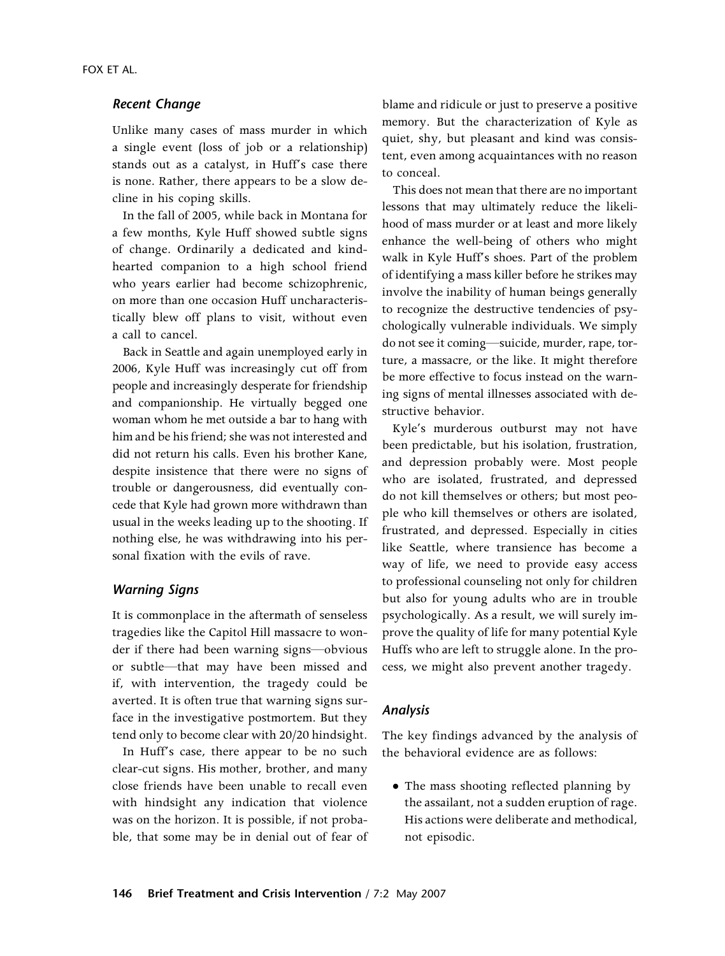#### Recent Change

Unlike many cases of mass murder in which a single event (loss of job or a relationship) stands out as a catalyst, in Huff's case there is none. Rather, there appears to be a slow decline in his coping skills.

In the fall of 2005, while back in Montana for a few months, Kyle Huff showed subtle signs of change. Ordinarily a dedicated and kindhearted companion to a high school friend who years earlier had become schizophrenic, on more than one occasion Huff uncharacteristically blew off plans to visit, without even a call to cancel.

Back in Seattle and again unemployed early in 2006, Kyle Huff was increasingly cut off from people and increasingly desperate for friendship and companionship. He virtually begged one woman whom he met outside a bar to hang with him and be his friend; she was not interested and did not return his calls. Even his brother Kane, despite insistence that there were no signs of trouble or dangerousness, did eventually concede that Kyle had grown more withdrawn than usual in the weeks leading up to the shooting. If nothing else, he was withdrawing into his personal fixation with the evils of rave.

## Warning Signs

It is commonplace in the aftermath of senseless tragedies like the Capitol Hill massacre to wonder if there had been warning signs—obvious or subtle—that may have been missed and if, with intervention, the tragedy could be averted. It is often true that warning signs surface in the investigative postmortem. But they tend only to become clear with 20/20 hindsight.

In Huff's case, there appear to be no such clear-cut signs. His mother, brother, and many close friends have been unable to recall even with hindsight any indication that violence was on the horizon. It is possible, if not probable, that some may be in denial out of fear of blame and ridicule or just to preserve a positive memory. But the characterization of Kyle as quiet, shy, but pleasant and kind was consistent, even among acquaintances with no reason to conceal.

This does not mean that there are no important lessons that may ultimately reduce the likelihood of mass murder or at least and more likely enhance the well-being of others who might walk in Kyle Huff's shoes. Part of the problem of identifying a mass killer before he strikes may involve the inability of human beings generally to recognize the destructive tendencies of psychologically vulnerable individuals. We simply do not see it coming—suicide, murder, rape, torture, a massacre, or the like. It might therefore be more effective to focus instead on the warning signs of mental illnesses associated with destructive behavior.

Kyle's murderous outburst may not have been predictable, but his isolation, frustration, and depression probably were. Most people who are isolated, frustrated, and depressed do not kill themselves or others; but most people who kill themselves or others are isolated, frustrated, and depressed. Especially in cities like Seattle, where transience has become a way of life, we need to provide easy access to professional counseling not only for children but also for young adults who are in trouble psychologically. As a result, we will surely improve the quality of life for many potential Kyle Huffs who are left to struggle alone. In the process, we might also prevent another tragedy.

# Analysis

The key findings advanced by the analysis of the behavioral evidence are as follows:

 The mass shooting reflected planning by the assailant, not a sudden eruption of rage. His actions were deliberate and methodical, not episodic.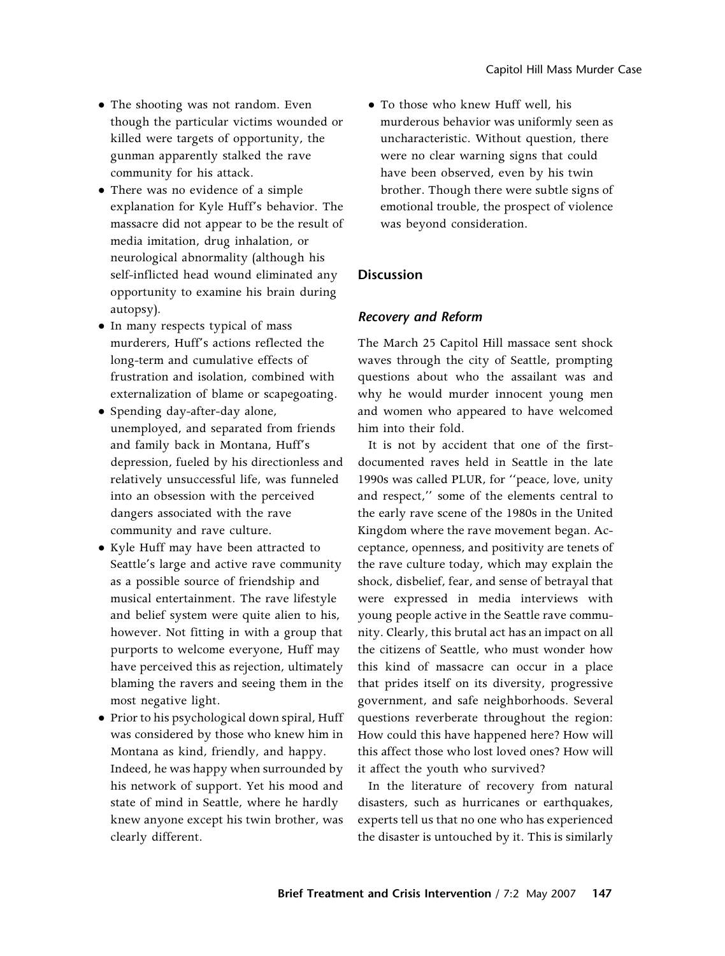- The shooting was not random. Even though the particular victims wounded or killed were targets of opportunity, the gunman apparently stalked the rave community for his attack.
- There was no evidence of a simple explanation for Kyle Huff's behavior. The massacre did not appear to be the result of media imitation, drug inhalation, or neurological abnormality (although his self-inflicted head wound eliminated any opportunity to examine his brain during autopsy).
- In many respects typical of mass murderers, Huff's actions reflected the long-term and cumulative effects of frustration and isolation, combined with externalization of blame or scapegoating.
- Spending day-after-day alone, unemployed, and separated from friends and family back in Montana, Huff's depression, fueled by his directionless and relatively unsuccessful life, was funneled into an obsession with the perceived dangers associated with the rave community and rave culture.
- Kyle Huff may have been attracted to Seattle's large and active rave community as a possible source of friendship and musical entertainment. The rave lifestyle and belief system were quite alien to his, however. Not fitting in with a group that purports to welcome everyone, Huff may have perceived this as rejection, ultimately blaming the ravers and seeing them in the most negative light.
- Prior to his psychological down spiral, Huff was considered by those who knew him in Montana as kind, friendly, and happy. Indeed, he was happy when surrounded by his network of support. Yet his mood and state of mind in Seattle, where he hardly knew anyone except his twin brother, was clearly different.

 To those who knew Huff well, his murderous behavior was uniformly seen as uncharacteristic. Without question, there were no clear warning signs that could have been observed, even by his twin brother. Though there were subtle signs of emotional trouble, the prospect of violence was beyond consideration.

# **Discussion**

# Recovery and Reform

The March 25 Capitol Hill massace sent shock waves through the city of Seattle, prompting questions about who the assailant was and why he would murder innocent young men and women who appeared to have welcomed him into their fold.

It is not by accident that one of the firstdocumented raves held in Seattle in the late 1990s was called PLUR, for ''peace, love, unity and respect,'' some of the elements central to the early rave scene of the 1980s in the United Kingdom where the rave movement began. Acceptance, openness, and positivity are tenets of the rave culture today, which may explain the shock, disbelief, fear, and sense of betrayal that were expressed in media interviews with young people active in the Seattle rave community. Clearly, this brutal act has an impact on all the citizens of Seattle, who must wonder how this kind of massacre can occur in a place that prides itself on its diversity, progressive government, and safe neighborhoods. Several questions reverberate throughout the region: How could this have happened here? How will this affect those who lost loved ones? How will it affect the youth who survived?

In the literature of recovery from natural disasters, such as hurricanes or earthquakes, experts tell us that no one who has experienced the disaster is untouched by it. This is similarly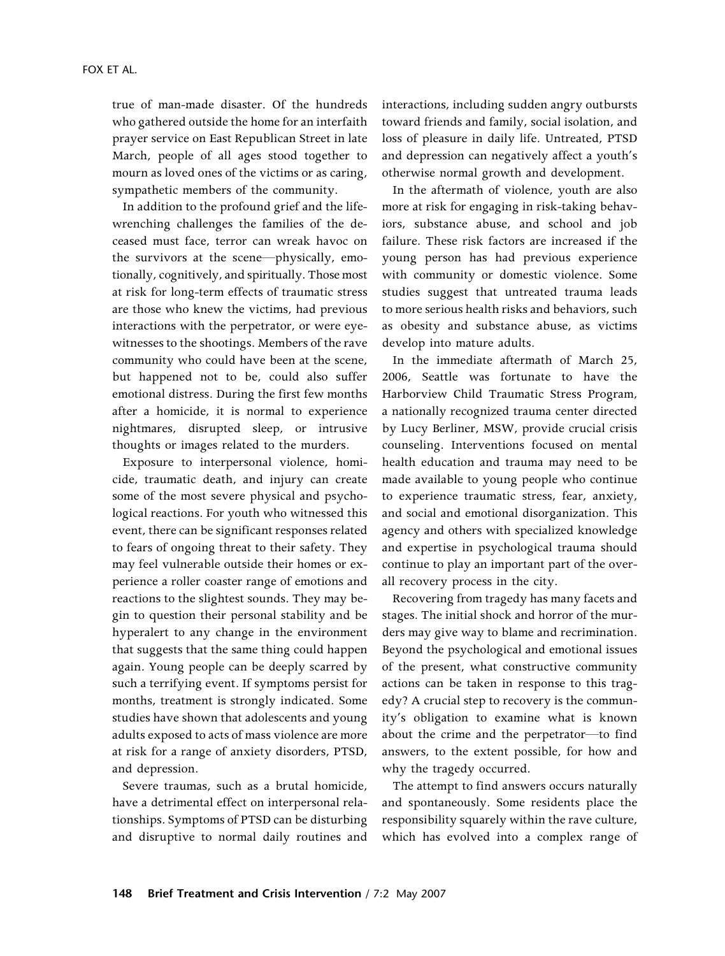true of man-made disaster. Of the hundreds who gathered outside the home for an interfaith prayer service on East Republican Street in late March, people of all ages stood together to mourn as loved ones of the victims or as caring, sympathetic members of the community.

In addition to the profound grief and the lifewrenching challenges the families of the deceased must face, terror can wreak havoc on the survivors at the scene—physically, emotionally, cognitively, and spiritually. Those most at risk for long-term effects of traumatic stress are those who knew the victims, had previous interactions with the perpetrator, or were eyewitnesses to the shootings. Members of the rave community who could have been at the scene, but happened not to be, could also suffer emotional distress. During the first few months after a homicide, it is normal to experience nightmares, disrupted sleep, or intrusive thoughts or images related to the murders.

Exposure to interpersonal violence, homicide, traumatic death, and injury can create some of the most severe physical and psychological reactions. For youth who witnessed this event, there can be significant responses related to fears of ongoing threat to their safety. They may feel vulnerable outside their homes or experience a roller coaster range of emotions and reactions to the slightest sounds. They may begin to question their personal stability and be hyperalert to any change in the environment that suggests that the same thing could happen again. Young people can be deeply scarred by such a terrifying event. If symptoms persist for months, treatment is strongly indicated. Some studies have shown that adolescents and young adults exposed to acts of mass violence are more at risk for a range of anxiety disorders, PTSD, and depression.

Severe traumas, such as a brutal homicide, have a detrimental effect on interpersonal relationships. Symptoms of PTSD can be disturbing and disruptive to normal daily routines and

interactions, including sudden angry outbursts toward friends and family, social isolation, and loss of pleasure in daily life. Untreated, PTSD and depression can negatively affect a youth's otherwise normal growth and development.

In the aftermath of violence, youth are also more at risk for engaging in risk-taking behaviors, substance abuse, and school and job failure. These risk factors are increased if the young person has had previous experience with community or domestic violence. Some studies suggest that untreated trauma leads to more serious health risks and behaviors, such as obesity and substance abuse, as victims develop into mature adults.

In the immediate aftermath of March 25, 2006, Seattle was fortunate to have the Harborview Child Traumatic Stress Program, a nationally recognized trauma center directed by Lucy Berliner, MSW, provide crucial crisis counseling. Interventions focused on mental health education and trauma may need to be made available to young people who continue to experience traumatic stress, fear, anxiety, and social and emotional disorganization. This agency and others with specialized knowledge and expertise in psychological trauma should continue to play an important part of the overall recovery process in the city.

Recovering from tragedy has many facets and stages. The initial shock and horror of the murders may give way to blame and recrimination. Beyond the psychological and emotional issues of the present, what constructive community actions can be taken in response to this tragedy? A crucial step to recovery is the community's obligation to examine what is known about the crime and the perpetrator—to find answers, to the extent possible, for how and why the tragedy occurred.

The attempt to find answers occurs naturally and spontaneously. Some residents place the responsibility squarely within the rave culture, which has evolved into a complex range of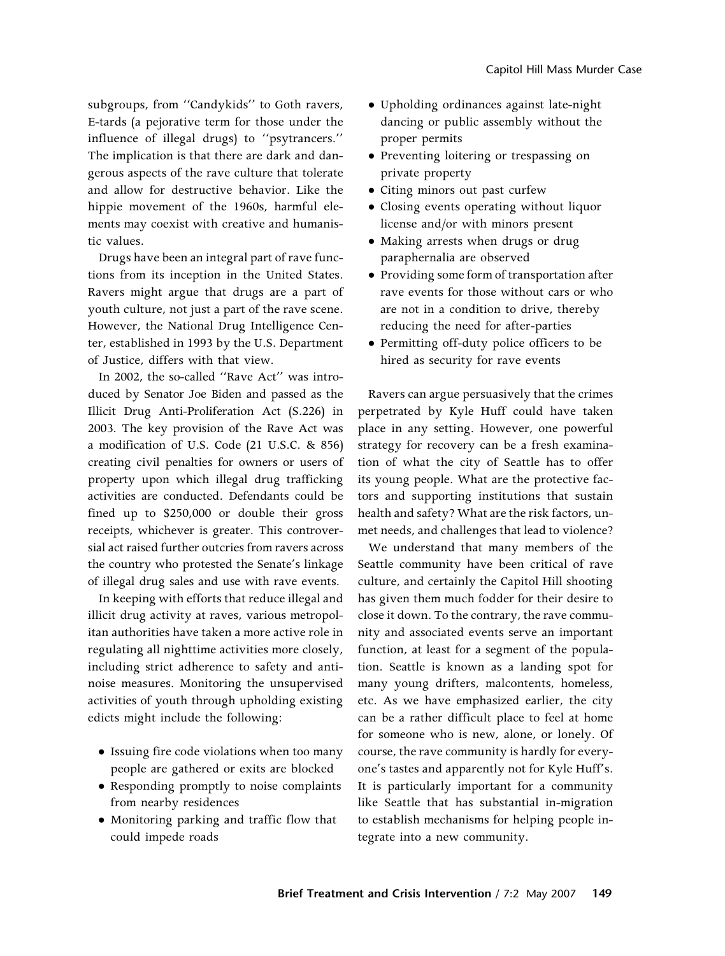subgroups, from ''Candykids'' to Goth ravers, E-tards (a pejorative term for those under the influence of illegal drugs) to ''psytrancers.'' The implication is that there are dark and dangerous aspects of the rave culture that tolerate and allow for destructive behavior. Like the hippie movement of the 1960s, harmful elements may coexist with creative and humanistic values.

Drugs have been an integral part of rave functions from its inception in the United States. Ravers might argue that drugs are a part of youth culture, not just a part of the rave scene. However, the National Drug Intelligence Center, established in 1993 by the U.S. Department of Justice, differs with that view.

In 2002, the so-called ''Rave Act'' was introduced by Senator Joe Biden and passed as the Illicit Drug Anti-Proliferation Act (S.226) in 2003. The key provision of the Rave Act was a modification of U.S. Code (21 U.S.C. & 856) creating civil penalties for owners or users of property upon which illegal drug trafficking activities are conducted. Defendants could be fined up to \$250,000 or double their gross receipts, whichever is greater. This controversial act raised further outcries from ravers across the country who protested the Senate's linkage of illegal drug sales and use with rave events.

In keeping with efforts that reduce illegal and illicit drug activity at raves, various metropolitan authorities have taken a more active role in regulating all nighttime activities more closely, including strict adherence to safety and antinoise measures. Monitoring the unsupervised activities of youth through upholding existing edicts might include the following:

- Issuing fire code violations when too many people are gathered or exits are blocked
- Responding promptly to noise complaints from nearby residences
- Monitoring parking and traffic flow that could impede roads
- Upholding ordinances against late-night dancing or public assembly without the proper permits
- Preventing loitering or trespassing on private property
- Citing minors out past curfew
- Closing events operating without liquor license and/or with minors present
- Making arrests when drugs or drug paraphernalia are observed
- Providing some form of transportation after rave events for those without cars or who are not in a condition to drive, thereby reducing the need for after-parties
- Permitting off-duty police officers to be hired as security for rave events

Ravers can argue persuasively that the crimes perpetrated by Kyle Huff could have taken place in any setting. However, one powerful strategy for recovery can be a fresh examination of what the city of Seattle has to offer its young people. What are the protective factors and supporting institutions that sustain health and safety? What are the risk factors, unmet needs, and challenges that lead to violence?

We understand that many members of the Seattle community have been critical of rave culture, and certainly the Capitol Hill shooting has given them much fodder for their desire to close it down. To the contrary, the rave community and associated events serve an important function, at least for a segment of the population. Seattle is known as a landing spot for many young drifters, malcontents, homeless, etc. As we have emphasized earlier, the city can be a rather difficult place to feel at home for someone who is new, alone, or lonely. Of course, the rave community is hardly for everyone's tastes and apparently not for Kyle Huff's. It is particularly important for a community like Seattle that has substantial in-migration to establish mechanisms for helping people integrate into a new community.